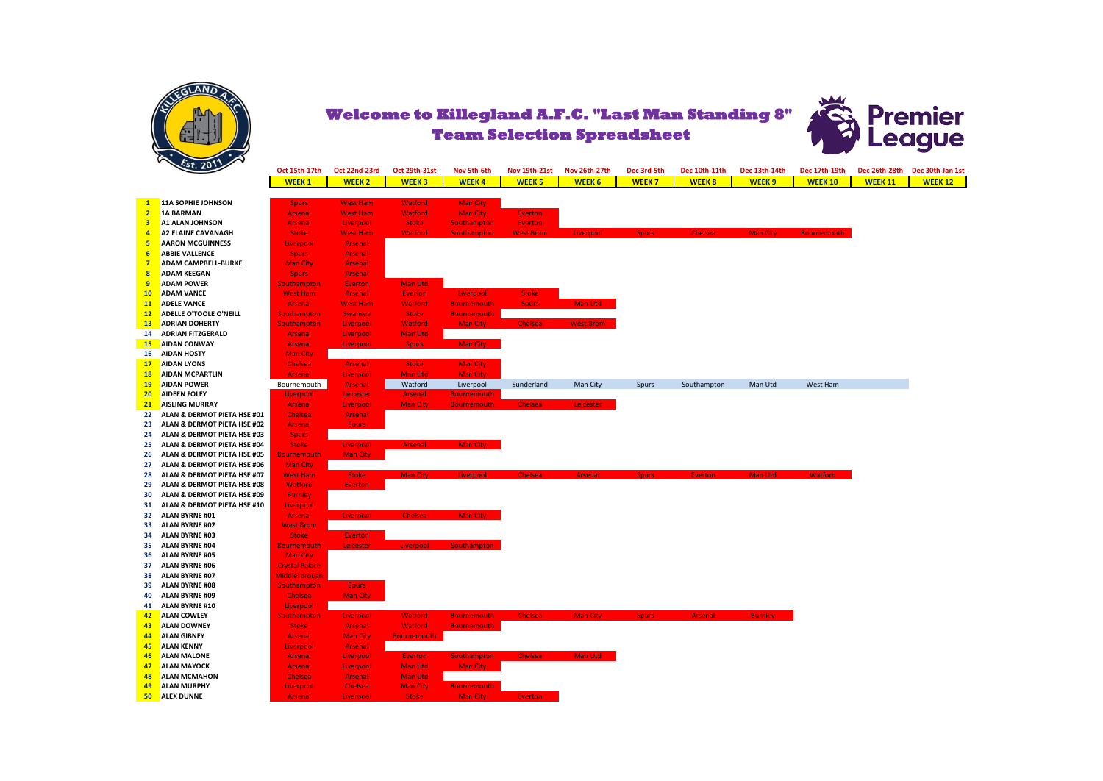



|                         | 20/2                          | Oct 15th-17th         | Oct 22nd-23rd   | Oct 29th-31st      | Nov 5th-6th        | Nov 19th-21st    | Nov 26th-27th    | Dec 3rd-5th  | Dec 10th-11th  | Dec 13th-14th   | Dec 17th-19th      | Dec 26th-28th  | Dec 30th-Jan 1st |
|-------------------------|-------------------------------|-----------------------|-----------------|--------------------|--------------------|------------------|------------------|--------------|----------------|-----------------|--------------------|----------------|------------------|
|                         |                               | <b>WEEK1</b>          | <b>WEEK2</b>    | <b>WEEK3</b>       | <b>WEEK4</b>       | <b>WEEK 5</b>    | <b>WEEK 6</b>    | <b>WEEK7</b> | <b>WEEK8</b>   | <b>WEEK 9</b>   | <b>WEEK 10</b>     | <b>WEEK 11</b> | <b>WEEK 12</b>   |
|                         |                               |                       |                 |                    |                    |                  |                  |              |                |                 |                    |                |                  |
| $\mathbf{1}$            | 11A SOPHIE JOHNSON            | <b>Spurs</b>          | <b>West Ham</b> | <b>Watford</b>     | <b>Man City</b>    |                  |                  |              |                |                 |                    |                |                  |
| $\overline{2}$          | <b>1A BARMAN</b>              | <b>Arsenal</b>        | <b>West Ham</b> | <b>Watford</b>     | <b>Man City</b>    | <b>Everton</b>   |                  |              |                |                 |                    |                |                  |
| $\overline{\mathbf{3}}$ | <b>A1 ALAN JOHNSON</b>        | <b>Arsenal</b>        | Liverpool       | <b>Stoke</b>       | <b>Southampton</b> | <b>Everton</b>   |                  |              |                |                 |                    |                |                  |
| $\overline{4}$          | <b>A2 ELAINE CAVANAGH</b>     | <b>Stoke</b>          | <b>West Ham</b> | Watford            | <b>Southampton</b> | <b>West Brom</b> | Liverpool        | Spurs:       | <b>Chelsea</b> | <b>Man City</b> | <b>Bournemouth</b> |                |                  |
| 5                       | <b>AARON MCGUINNESS</b>       | Liverpool             | Arsenal         |                    |                    |                  |                  |              |                |                 |                    |                |                  |
| 6                       | <b>ABBIE VALLENCE</b>         | <b>Spurs</b>          | <b>Arsenal</b>  |                    |                    |                  |                  |              |                |                 |                    |                |                  |
| -7                      | <b>ADAM CAMPBELL-BURKE</b>    | <b>Man City</b>       | Arsenal         |                    |                    |                  |                  |              |                |                 |                    |                |                  |
| 8                       | <b>ADAM KEEGAN</b>            | <b>Spurs</b>          | Arsenal         |                    |                    |                  |                  |              |                |                 |                    |                |                  |
| $\overline{9}$          | <b>ADAM POWER</b>             | <b>Southampton</b>    | <b>Everton</b>  | <b>Man Utd</b>     |                    |                  |                  |              |                |                 |                    |                |                  |
| 10                      | <b>ADAM VANCE</b>             | <b>West Ham</b>       | Arsenal         | <b>Everton</b>     | Liverpool          | <b>Stoke</b>     |                  |              |                |                 |                    |                |                  |
| 11                      | <b>ADELE VANCE</b>            | Arsenal               | <b>West Ham</b> | <b>Watford</b>     | <b>Bournemouth</b> | <b>Spurs</b>     | Man Utd          |              |                |                 |                    |                |                  |
| 12                      | <b>ADELLE O'TOOLE O'NEILL</b> | <b>Southampton</b>    | <b>Swansea</b>  | <b>Stoke</b>       | <b>Bournemouth</b> |                  |                  |              |                |                 |                    |                |                  |
| 13                      | <b>ADRIAN DOHERTY</b>         | <b>Southampton</b>    | Liverpool       | <b>Watford</b>     | Man City           | <b>Chelsea</b>   | <b>West Brom</b> |              |                |                 |                    |                |                  |
| 14                      | <b>ADRIAN FITZGERALD</b>      | <b>Arsenal</b>        | Liverpool       | Man Utd            |                    |                  |                  |              |                |                 |                    |                |                  |
| 15                      | <b>AIDAN CONWAY</b>           | <b>Arsenal</b>        | Liverpool       | <b>Spurs</b>       | Man City           |                  |                  |              |                |                 |                    |                |                  |
| 16                      | <b>AIDAN HOSTY</b>            | <b>Man City</b>       |                 |                    |                    |                  |                  |              |                |                 |                    |                |                  |
| 17                      | <b>AIDAN LYONS</b>            | <b>Chelsea</b>        | Arsenal         | <b>Stoke</b>       | <b>Man City</b>    |                  |                  |              |                |                 |                    |                |                  |
| <b>18</b>               | <b>AIDAN MCPARTLIN</b>        | <b>Arsenal</b>        | Liverpool       | <b>Man Utd</b>     | <b>Man City</b>    |                  |                  |              |                |                 |                    |                |                  |
| 19                      | <b>AIDAN POWER</b>            | Bournemouth           | <b>Arsenal</b>  | Watford            | Liverpool          | Sunderland       | Man City         | Spurs        | Southampton    | Man Utd         | West Ham           |                |                  |
| 20                      | <b>AIDEEN FOLEY</b>           | Liverpool             | Leicester       | <b>Arsenal</b>     | <b>Bournemouth</b> |                  |                  |              |                |                 |                    |                |                  |
| 21                      | <b>AISLING MURRAY</b>         | <b>Arsenal</b>        | Liverpool       | Man City           | <b>Bournemouth</b> | <b>Chelsea</b>   | Leicester        |              |                |                 |                    |                |                  |
| 22                      | ALAN & DERMOT PIETA HSE #01   | Chelsea               | Arsenal         |                    |                    |                  |                  |              |                |                 |                    |                |                  |
| 23                      | ALAN & DERMOT PIETA HSE #02   | <b>Arsenal</b>        | Spurs           |                    |                    |                  |                  |              |                |                 |                    |                |                  |
| 24                      | ALAN & DERMOT PIETA HSE #03   | <b>Spurs</b>          |                 |                    |                    |                  |                  |              |                |                 |                    |                |                  |
| 25                      | ALAN & DERMOT PIETA HSE #04   | <b>Stoke</b>          | Liverpool       | <b>Arsenal</b>     | Man City           |                  |                  |              |                |                 |                    |                |                  |
| 26                      | ALAN & DERMOT PIETA HSE #05   | <b>Bournemouth</b>    | <b>Man City</b> |                    |                    |                  |                  |              |                |                 |                    |                |                  |
| 27                      | ALAN & DERMOT PIETA HSE #06   | <b>Man City</b>       |                 |                    |                    |                  |                  |              |                |                 |                    |                |                  |
| 28                      | ALAN & DERMOT PIETA HSE #07   | <b>West Ham</b>       | <b>Stoke</b>    | <b>Man City</b>    | Liverpool          | <b>Chelsea</b>   | <b>Arsenal</b>   | <b>Spurs</b> | <b>Everton</b> | Man Utd         | Watford            |                |                  |
| 29                      | ALAN & DERMOT PIETA HSE #08   | Watford               | <b>Everton</b>  |                    |                    |                  |                  |              |                |                 |                    |                |                  |
| 30                      | ALAN & DERMOT PIETA HSE #09   | <b>Burnley</b>        |                 |                    |                    |                  |                  |              |                |                 |                    |                |                  |
| 31                      | ALAN & DERMOT PIETA HSE #10   | Liverpool             |                 |                    |                    |                  |                  |              |                |                 |                    |                |                  |
| 32                      | <b>ALAN BYRNE #01</b>         | <b>Arsenal</b>        | Liverpool       | <b>Chelsea</b>     | Man City           |                  |                  |              |                |                 |                    |                |                  |
| 33                      | <b>ALAN BYRNE #02</b>         | <b>West Brom</b>      |                 |                    |                    |                  |                  |              |                |                 |                    |                |                  |
| 34                      | <b>ALAN BYRNE #03</b>         | <b>Stoke</b>          | <b>Everton</b>  |                    |                    |                  |                  |              |                |                 |                    |                |                  |
| 35                      | <b>ALAN BYRNE #04</b>         | <b>Bournemouth</b>    | Leicester       | Liverpool          | <b>Southampton</b> |                  |                  |              |                |                 |                    |                |                  |
| 36                      | <b>ALAN BYRNE #05</b>         | <b>Man City</b>       |                 |                    |                    |                  |                  |              |                |                 |                    |                |                  |
| 37                      | <b>ALAN BYRNE #06</b>         | <b>Crystal Palace</b> |                 |                    |                    |                  |                  |              |                |                 |                    |                |                  |
| 38                      | <b>ALAN BYRNE #07</b>         | Middlesbrough         |                 |                    |                    |                  |                  |              |                |                 |                    |                |                  |
| 39                      | <b>ALAN BYRNE #08</b>         | <b>Southampton</b>    | <b>Spurs</b>    |                    |                    |                  |                  |              |                |                 |                    |                |                  |
| 40                      | <b>ALAN BYRNE #09</b>         | <b>Chelsea</b>        | <b>Man City</b> |                    |                    |                  |                  |              |                |                 |                    |                |                  |
| 41                      | <b>ALAN BYRNE #10</b>         | Liverpool             |                 |                    |                    |                  |                  |              |                |                 |                    |                |                  |
| 42                      | <b>ALAN COWLEY</b>            | Southampton           | Liverpool       | <b>Watford</b>     | <b>Bournemouth</b> | <b>Chelsea</b>   | <b>Man City</b>  | Spurs:       | <b>Arsenal</b> | <b>Burnley</b>  |                    |                |                  |
| 43                      | <b>ALAN DOWNEY</b>            | <b>Stoke</b>          | Arsenal         | <b>Watford</b>     | <b>Bournemouth</b> |                  |                  |              |                |                 |                    |                |                  |
| 44                      | <b>ALAN GIBNEY</b>            | <b>Arsenal</b>        | <b>Man City</b> | <b>Bournemouth</b> |                    |                  |                  |              |                |                 |                    |                |                  |
| 45                      | <b>ALAN KENNY</b>             | Liverpool             | Arsenal         |                    |                    |                  |                  |              |                |                 |                    |                |                  |
| 46                      | <b>ALAN MALONE</b>            | <b>Arsenal</b>        | Liverpool       | <b>Everton</b>     | <b>Southampton</b> | <b>Chelsea</b>   | Man Utd          |              |                |                 |                    |                |                  |
| 47                      | <b>ALAN MAYOCK</b>            | <b>Arsenal</b>        | Liverpool       | Man Utd            | Man City           |                  |                  |              |                |                 |                    |                |                  |
| 48                      | <b>ALAN MCMAHON</b>           | <b>Chelsea</b>        | Arsenal         | Man Utd            |                    |                  |                  |              |                |                 |                    |                |                  |
| 49                      | <b>ALAN MURPHY</b>            | Liverpool             | <b>Chelsea</b>  | <b>Man City</b>    | <b>Bournemouth</b> |                  |                  |              |                |                 |                    |                |                  |
| 50                      | <b>ALEX DUNNE</b>             | <b>Arsenal</b>        | Liverpool       | <b>Stoke</b>       | Man City           | <b>Everton</b>   |                  |              |                |                 |                    |                |                  |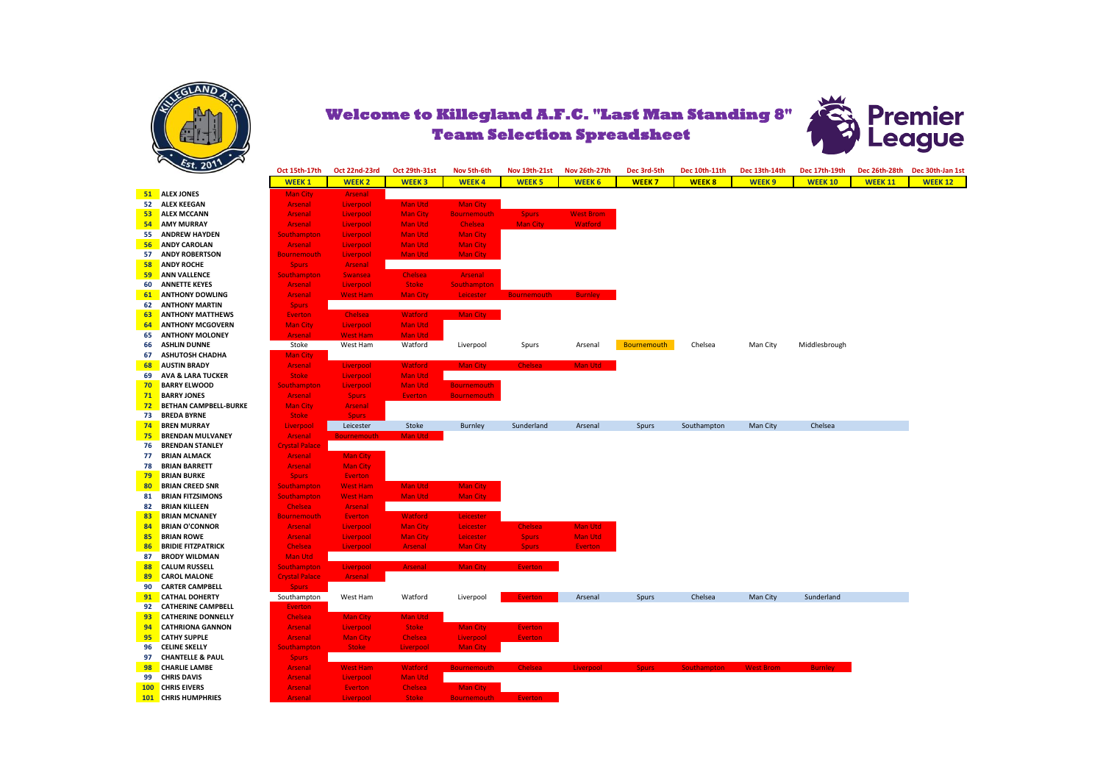



| Dec 26th-28th<br><b>WEEK1</b><br><b>WEEK2</b><br><b>WEEK3</b><br><b>WEEK4</b><br><b>WEEK 5</b><br><b>WEEK 6</b><br><b>WEEK7</b><br><b>WEEK8</b><br><b>WEEK9</b><br><b>WEEK 10</b><br><b>WEEK 11</b><br>51<br><b>ALEX JONES</b><br><b>Man City</b><br><b>Arsenal</b><br>52<br><b>ALEX KEEGAN</b><br>Arsenal<br>Liverpool<br><b>Man Utd</b><br>Man City<br><b>ALEX MCCANN</b><br><b>West Brom</b><br>53<br><b>Man City</b><br><b>Bournemouth</b><br><b>Spurs</b><br><b>Arsenal</b><br>Liverpool<br>54<br><b>AMY MURRAY</b><br><b>Chelsea</b><br><b>Man City</b><br><b>Watford</b><br>Arsenal<br>Liverpool<br><b>Man Utd</b><br>55<br><b>ANDREW HAYDEN</b><br><b>Man Utd</b><br><b>Man City</b><br>Southampton<br>Liverpool<br>56<br><b>ANDY CAROLAN</b><br>Man Utd<br><b>Man City</b><br><b>Arsenal</b><br>Liverpool<br><b>ANDY ROBERTSON</b><br>57<br><b>Man Utd</b><br><b>Man City</b><br><b>Bournemouth</b><br>Liverpool<br><b>ANDY ROCHE</b><br>58<br>Arsenal<br><b>Spurs</b><br>59<br><b>ANN VALLENCE</b><br><b>Southampton</b><br><b>Chelsea</b><br><b>Arsenal</b><br><b>Swansea</b><br><b>ANNETTE KEYES</b><br><b>Stoke</b><br>60<br><b>Southampton</b><br><b>Arsenal</b><br>Liverpool<br><b>ANTHONY DOWLING</b><br><b>West Ham</b><br><b>Man City</b><br>Leicester<br><b>Burnley</b><br>61<br><b>Arsenal</b><br><b>Bournemouth</b><br><b>ANTHONY MARTIN</b><br>62<br><b>Spurs</b><br>Man City<br><b>ANTHONY MATTHEWS</b><br><b>Chelsea</b><br><b>Watford</b><br>63<br><b>Everton</b><br>64<br><b>ANTHONY MCGOVERN</b><br>Man Utd<br><b>Man City</b><br>Liverpool<br><b>ANTHONY MOLONEY</b><br>65<br><b>West Ham</b><br>Man Utd<br>Arsenal<br><b>ASHLIN DUNNE</b><br>Stoke<br>West Ham<br>Watford<br>Bournemouth<br>Chelsea<br>Man City<br>Liverpool<br>Spurs<br>Arsenal<br>Middlesbrough<br>66<br><b>ASHUTOSH CHADHA</b><br>67<br><b>Man City</b><br><b>AUSTIN BRADY</b><br><b>Watford</b><br>Man City<br><b>Chelsea</b><br>Man Utd<br>68<br><b>Arsenal</b><br>Liverpool<br><b>AVA &amp; LARA TUCKER</b><br>Man Utd<br>69<br><b>Stoke</b><br>Liverpool<br><b>BARRY ELWOOD</b><br><b>Bournemouth</b><br>70<br><b>Man Utd</b><br><b>Southampton</b><br>Liverpool<br>71<br><b>BARRY JONES</b><br>Arsenal<br><b>Spurs</b><br><b>Everton</b><br><b>Bournemouth</b><br>72<br><b>BETHAN CAMPBELL-BURKE</b><br><b>Arsenal</b><br><b>Man City</b><br>73<br><b>BREDA BYRNE</b><br><b>Stoke</b><br>Sours:<br>74<br><b>BREN MURRAY</b><br>Burnley<br>Sunderland<br>Man City<br>Chelsea<br>Liverpool<br>Leicester<br>Stoke<br>Arsenal<br>Spurs<br>Southampton<br>75<br><b>BRENDAN MULVANEY</b><br><b>Man Utd</b><br><b>Arsenal</b><br><b>Bournemouth</b><br>76<br><b>BRENDAN STANLEY</b><br><b>Crystal Palace</b><br><b>BRIAN ALMACK</b><br>77<br><b>Arsenal</b><br><b>Man City</b><br>78<br><b>BRIAN BARRETT</b><br><b>Man City</b><br><b>Arsenal</b><br>79<br><b>BRIAN BURKE</b><br>Everton<br><b>Spurs</b><br><b>BRIAN CREED SNR</b><br><b>Man Utd</b><br>Man City<br>80<br><b>West Ham</b><br>Southampton<br><b>BRIAN FITZSIMONS</b><br><b>Man Utd</b><br><b>Man City</b><br>81<br><b>Southampton</b><br><b>West Ham</b><br>82<br><b>BRIAN KILLEEN</b><br><b>Arsenal</b><br><b>Chelsea</b><br>83<br><b>BRIAN MCNANEY</b><br><b>Watford</b><br>Leicester<br><b>Bournemouth</b><br><b>Everton</b><br><b>BRIAN O'CONNOR</b><br>Man Utd<br>84<br><b>Man City</b><br>Leicester<br><b>Chelsea</b><br><b>Arsenal</b><br>Liverpool<br><b>BRIAN ROWE</b><br><b>Man City</b><br><b>Man Utd</b><br>85<br>Arsenal<br>Liverpool<br>Leicester<br><b>Spurs</b><br><b>BRIDIE FITZPATRICK</b><br>Liverpool<br><b>Man City</b><br>86<br><b>Chelsea</b><br><b>Arsenal</b><br><b>Spurs</b><br><b>Everton</b><br><b>BRODY WILDMAN</b><br>Man Utd<br>87<br>88<br><b>CALUM RUSSELL</b><br>Man City<br><b>Southampton</b><br>Liverpool<br><b>Arsenal</b><br><b>Everton</b><br>89<br><b>CAROL MALONE</b><br><b>Crystal Palace</b><br><b>Arsenal</b><br>90<br><b>CARTER CAMPBELL</b><br><b>Spurs</b><br>Chelsea<br>Sunderland<br>91<br><b>CATHAL DOHERTY</b><br>Southampton<br>West Ham<br>Watford<br>Liverpool<br>Everton<br>Arsenal<br>Spurs<br>Man City<br><b>CATHERINE CAMPBELL</b><br>92<br><b>Everton</b><br>Man Utd<br>93<br><b>CATHERINE DONNELLY</b><br><b>Chelsea</b><br><b>Man City</b><br>94<br><b>CATHRIONA GANNON</b><br><b>Stoke</b><br><b>Man City</b><br><b>Everton</b><br><b>Arsenal</b><br>Liverpool<br>95<br><b>CATHY SUPPLE</b><br><b>Man City</b><br>Chelsea<br>Liverpool<br><b>Everton</b><br>Arsenal<br><b>CELINE SKELLY</b><br><b>Stoke</b><br>Liverpool<br>Man City<br>96<br><b>Southampton</b><br><b>CHANTELLE &amp; PAUL</b><br>97<br><b>Spurs</b><br>98<br><b>CHARLIE LAMBE</b><br><b>West Ham</b><br><b>Watford</b><br><b>Bournemouth</b><br><b>Chelsea</b><br>Liverpool<br><b>Southampton</b><br><b>West Brom</b><br><b>Arsenal</b><br><b>Spurs</b><br><b>Burnley</b><br><b>CHRIS DAVIS</b><br><b>Man Utd</b><br>99<br><b>Arsenal</b><br>Liverpool<br><b>CHRIS EIVERS</b><br><b>100</b><br><b>Arsenal</b><br><b>Everton</b><br><b>Chelsea</b><br>Man City<br>101 CHRIS HUMPHRIES<br><b>Arsenal</b><br>Liverpool<br><b>Bournemouth</b><br><b>Everton</b> | $\frac{261}{201}$ |               |               |               |             |               |               |             |               |               |               |                  |
|-----------------------------------------------------------------------------------------------------------------------------------------------------------------------------------------------------------------------------------------------------------------------------------------------------------------------------------------------------------------------------------------------------------------------------------------------------------------------------------------------------------------------------------------------------------------------------------------------------------------------------------------------------------------------------------------------------------------------------------------------------------------------------------------------------------------------------------------------------------------------------------------------------------------------------------------------------------------------------------------------------------------------------------------------------------------------------------------------------------------------------------------------------------------------------------------------------------------------------------------------------------------------------------------------------------------------------------------------------------------------------------------------------------------------------------------------------------------------------------------------------------------------------------------------------------------------------------------------------------------------------------------------------------------------------------------------------------------------------------------------------------------------------------------------------------------------------------------------------------------------------------------------------------------------------------------------------------------------------------------------------------------------------------------------------------------------------------------------------------------------------------------------------------------------------------------------------------------------------------------------------------------------------------------------------------------------------------------------------------------------------------------------------------------------------------------------------------------------------------------------------------------------------------------------------------------------------------------------------------------------------------------------------------------------------------------------------------------------------------------------------------------------------------------------------------------------------------------------------------------------------------------------------------------------------------------------------------------------------------------------------------------------------------------------------------------------------------------------------------------------------------------------------------------------------------------------------------------------------------------------------------------------------------------------------------------------------------------------------------------------------------------------------------------------------------------------------------------------------------------------------------------------------------------------------------------------------------------------------------------------------------------------------------------------------------------------------------------------------------------------------------------------------------------------------------------------------------------------------------------------------------------------------------------------------------------------------------------------------------------------------------------------------------------------------------------------------------------------------------------------------------------------------------------------------------------------------------------------------------------------------------------------------------------------------------------------------------------------------------------------------------------------------------------------------------------------------------------------------------------------------------------------------------------------------------------------------------------------------------------------------------------------------------------------------------------------------------------------------------------------------------------------------------------------------------------------------------------------------------------------------------------------------------------------------------------------------------------------------------------------------------------------------------------------------------------------------------------------------------------------------------------------------------|-------------------|---------------|---------------|---------------|-------------|---------------|---------------|-------------|---------------|---------------|---------------|------------------|
|                                                                                                                                                                                                                                                                                                                                                                                                                                                                                                                                                                                                                                                                                                                                                                                                                                                                                                                                                                                                                                                                                                                                                                                                                                                                                                                                                                                                                                                                                                                                                                                                                                                                                                                                                                                                                                                                                                                                                                                                                                                                                                                                                                                                                                                                                                                                                                                                                                                                                                                                                                                                                                                                                                                                                                                                                                                                                                                                                                                                                                                                                                                                                                                                                                                                                                                                                                                                                                                                                                                                                                                                                                                                                                                                                                                                                                                                                                                                                                                                                                                                                                                                                                                                                                                                                                                                                                                                                                                                                                                                                                                                                                                                                                                                                                                                                                                                                                                                                                                                                                                                                                                                                           |                   | Oct 15th-17th | Oct 22nd-23rd | Oct 29th-31st | Nov 5th-6th | Nov 19th-21st | Nov 26th-27th | Dec 3rd-5th | Dec 10th-11th | Dec 13th-14th | Dec 17th-19th | Dec 30th-Jan 1st |
|                                                                                                                                                                                                                                                                                                                                                                                                                                                                                                                                                                                                                                                                                                                                                                                                                                                                                                                                                                                                                                                                                                                                                                                                                                                                                                                                                                                                                                                                                                                                                                                                                                                                                                                                                                                                                                                                                                                                                                                                                                                                                                                                                                                                                                                                                                                                                                                                                                                                                                                                                                                                                                                                                                                                                                                                                                                                                                                                                                                                                                                                                                                                                                                                                                                                                                                                                                                                                                                                                                                                                                                                                                                                                                                                                                                                                                                                                                                                                                                                                                                                                                                                                                                                                                                                                                                                                                                                                                                                                                                                                                                                                                                                                                                                                                                                                                                                                                                                                                                                                                                                                                                                                           |                   |               |               |               |             |               |               |             |               |               |               | <b>WEEK 12</b>   |
|                                                                                                                                                                                                                                                                                                                                                                                                                                                                                                                                                                                                                                                                                                                                                                                                                                                                                                                                                                                                                                                                                                                                                                                                                                                                                                                                                                                                                                                                                                                                                                                                                                                                                                                                                                                                                                                                                                                                                                                                                                                                                                                                                                                                                                                                                                                                                                                                                                                                                                                                                                                                                                                                                                                                                                                                                                                                                                                                                                                                                                                                                                                                                                                                                                                                                                                                                                                                                                                                                                                                                                                                                                                                                                                                                                                                                                                                                                                                                                                                                                                                                                                                                                                                                                                                                                                                                                                                                                                                                                                                                                                                                                                                                                                                                                                                                                                                                                                                                                                                                                                                                                                                                           |                   |               |               |               |             |               |               |             |               |               |               |                  |
|                                                                                                                                                                                                                                                                                                                                                                                                                                                                                                                                                                                                                                                                                                                                                                                                                                                                                                                                                                                                                                                                                                                                                                                                                                                                                                                                                                                                                                                                                                                                                                                                                                                                                                                                                                                                                                                                                                                                                                                                                                                                                                                                                                                                                                                                                                                                                                                                                                                                                                                                                                                                                                                                                                                                                                                                                                                                                                                                                                                                                                                                                                                                                                                                                                                                                                                                                                                                                                                                                                                                                                                                                                                                                                                                                                                                                                                                                                                                                                                                                                                                                                                                                                                                                                                                                                                                                                                                                                                                                                                                                                                                                                                                                                                                                                                                                                                                                                                                                                                                                                                                                                                                                           |                   |               |               |               |             |               |               |             |               |               |               |                  |
|                                                                                                                                                                                                                                                                                                                                                                                                                                                                                                                                                                                                                                                                                                                                                                                                                                                                                                                                                                                                                                                                                                                                                                                                                                                                                                                                                                                                                                                                                                                                                                                                                                                                                                                                                                                                                                                                                                                                                                                                                                                                                                                                                                                                                                                                                                                                                                                                                                                                                                                                                                                                                                                                                                                                                                                                                                                                                                                                                                                                                                                                                                                                                                                                                                                                                                                                                                                                                                                                                                                                                                                                                                                                                                                                                                                                                                                                                                                                                                                                                                                                                                                                                                                                                                                                                                                                                                                                                                                                                                                                                                                                                                                                                                                                                                                                                                                                                                                                                                                                                                                                                                                                                           |                   |               |               |               |             |               |               |             |               |               |               |                  |
|                                                                                                                                                                                                                                                                                                                                                                                                                                                                                                                                                                                                                                                                                                                                                                                                                                                                                                                                                                                                                                                                                                                                                                                                                                                                                                                                                                                                                                                                                                                                                                                                                                                                                                                                                                                                                                                                                                                                                                                                                                                                                                                                                                                                                                                                                                                                                                                                                                                                                                                                                                                                                                                                                                                                                                                                                                                                                                                                                                                                                                                                                                                                                                                                                                                                                                                                                                                                                                                                                                                                                                                                                                                                                                                                                                                                                                                                                                                                                                                                                                                                                                                                                                                                                                                                                                                                                                                                                                                                                                                                                                                                                                                                                                                                                                                                                                                                                                                                                                                                                                                                                                                                                           |                   |               |               |               |             |               |               |             |               |               |               |                  |
|                                                                                                                                                                                                                                                                                                                                                                                                                                                                                                                                                                                                                                                                                                                                                                                                                                                                                                                                                                                                                                                                                                                                                                                                                                                                                                                                                                                                                                                                                                                                                                                                                                                                                                                                                                                                                                                                                                                                                                                                                                                                                                                                                                                                                                                                                                                                                                                                                                                                                                                                                                                                                                                                                                                                                                                                                                                                                                                                                                                                                                                                                                                                                                                                                                                                                                                                                                                                                                                                                                                                                                                                                                                                                                                                                                                                                                                                                                                                                                                                                                                                                                                                                                                                                                                                                                                                                                                                                                                                                                                                                                                                                                                                                                                                                                                                                                                                                                                                                                                                                                                                                                                                                           |                   |               |               |               |             |               |               |             |               |               |               |                  |
|                                                                                                                                                                                                                                                                                                                                                                                                                                                                                                                                                                                                                                                                                                                                                                                                                                                                                                                                                                                                                                                                                                                                                                                                                                                                                                                                                                                                                                                                                                                                                                                                                                                                                                                                                                                                                                                                                                                                                                                                                                                                                                                                                                                                                                                                                                                                                                                                                                                                                                                                                                                                                                                                                                                                                                                                                                                                                                                                                                                                                                                                                                                                                                                                                                                                                                                                                                                                                                                                                                                                                                                                                                                                                                                                                                                                                                                                                                                                                                                                                                                                                                                                                                                                                                                                                                                                                                                                                                                                                                                                                                                                                                                                                                                                                                                                                                                                                                                                                                                                                                                                                                                                                           |                   |               |               |               |             |               |               |             |               |               |               |                  |
|                                                                                                                                                                                                                                                                                                                                                                                                                                                                                                                                                                                                                                                                                                                                                                                                                                                                                                                                                                                                                                                                                                                                                                                                                                                                                                                                                                                                                                                                                                                                                                                                                                                                                                                                                                                                                                                                                                                                                                                                                                                                                                                                                                                                                                                                                                                                                                                                                                                                                                                                                                                                                                                                                                                                                                                                                                                                                                                                                                                                                                                                                                                                                                                                                                                                                                                                                                                                                                                                                                                                                                                                                                                                                                                                                                                                                                                                                                                                                                                                                                                                                                                                                                                                                                                                                                                                                                                                                                                                                                                                                                                                                                                                                                                                                                                                                                                                                                                                                                                                                                                                                                                                                           |                   |               |               |               |             |               |               |             |               |               |               |                  |
|                                                                                                                                                                                                                                                                                                                                                                                                                                                                                                                                                                                                                                                                                                                                                                                                                                                                                                                                                                                                                                                                                                                                                                                                                                                                                                                                                                                                                                                                                                                                                                                                                                                                                                                                                                                                                                                                                                                                                                                                                                                                                                                                                                                                                                                                                                                                                                                                                                                                                                                                                                                                                                                                                                                                                                                                                                                                                                                                                                                                                                                                                                                                                                                                                                                                                                                                                                                                                                                                                                                                                                                                                                                                                                                                                                                                                                                                                                                                                                                                                                                                                                                                                                                                                                                                                                                                                                                                                                                                                                                                                                                                                                                                                                                                                                                                                                                                                                                                                                                                                                                                                                                                                           |                   |               |               |               |             |               |               |             |               |               |               |                  |
|                                                                                                                                                                                                                                                                                                                                                                                                                                                                                                                                                                                                                                                                                                                                                                                                                                                                                                                                                                                                                                                                                                                                                                                                                                                                                                                                                                                                                                                                                                                                                                                                                                                                                                                                                                                                                                                                                                                                                                                                                                                                                                                                                                                                                                                                                                                                                                                                                                                                                                                                                                                                                                                                                                                                                                                                                                                                                                                                                                                                                                                                                                                                                                                                                                                                                                                                                                                                                                                                                                                                                                                                                                                                                                                                                                                                                                                                                                                                                                                                                                                                                                                                                                                                                                                                                                                                                                                                                                                                                                                                                                                                                                                                                                                                                                                                                                                                                                                                                                                                                                                                                                                                                           |                   |               |               |               |             |               |               |             |               |               |               |                  |
|                                                                                                                                                                                                                                                                                                                                                                                                                                                                                                                                                                                                                                                                                                                                                                                                                                                                                                                                                                                                                                                                                                                                                                                                                                                                                                                                                                                                                                                                                                                                                                                                                                                                                                                                                                                                                                                                                                                                                                                                                                                                                                                                                                                                                                                                                                                                                                                                                                                                                                                                                                                                                                                                                                                                                                                                                                                                                                                                                                                                                                                                                                                                                                                                                                                                                                                                                                                                                                                                                                                                                                                                                                                                                                                                                                                                                                                                                                                                                                                                                                                                                                                                                                                                                                                                                                                                                                                                                                                                                                                                                                                                                                                                                                                                                                                                                                                                                                                                                                                                                                                                                                                                                           |                   |               |               |               |             |               |               |             |               |               |               |                  |
|                                                                                                                                                                                                                                                                                                                                                                                                                                                                                                                                                                                                                                                                                                                                                                                                                                                                                                                                                                                                                                                                                                                                                                                                                                                                                                                                                                                                                                                                                                                                                                                                                                                                                                                                                                                                                                                                                                                                                                                                                                                                                                                                                                                                                                                                                                                                                                                                                                                                                                                                                                                                                                                                                                                                                                                                                                                                                                                                                                                                                                                                                                                                                                                                                                                                                                                                                                                                                                                                                                                                                                                                                                                                                                                                                                                                                                                                                                                                                                                                                                                                                                                                                                                                                                                                                                                                                                                                                                                                                                                                                                                                                                                                                                                                                                                                                                                                                                                                                                                                                                                                                                                                                           |                   |               |               |               |             |               |               |             |               |               |               |                  |
|                                                                                                                                                                                                                                                                                                                                                                                                                                                                                                                                                                                                                                                                                                                                                                                                                                                                                                                                                                                                                                                                                                                                                                                                                                                                                                                                                                                                                                                                                                                                                                                                                                                                                                                                                                                                                                                                                                                                                                                                                                                                                                                                                                                                                                                                                                                                                                                                                                                                                                                                                                                                                                                                                                                                                                                                                                                                                                                                                                                                                                                                                                                                                                                                                                                                                                                                                                                                                                                                                                                                                                                                                                                                                                                                                                                                                                                                                                                                                                                                                                                                                                                                                                                                                                                                                                                                                                                                                                                                                                                                                                                                                                                                                                                                                                                                                                                                                                                                                                                                                                                                                                                                                           |                   |               |               |               |             |               |               |             |               |               |               |                  |
|                                                                                                                                                                                                                                                                                                                                                                                                                                                                                                                                                                                                                                                                                                                                                                                                                                                                                                                                                                                                                                                                                                                                                                                                                                                                                                                                                                                                                                                                                                                                                                                                                                                                                                                                                                                                                                                                                                                                                                                                                                                                                                                                                                                                                                                                                                                                                                                                                                                                                                                                                                                                                                                                                                                                                                                                                                                                                                                                                                                                                                                                                                                                                                                                                                                                                                                                                                                                                                                                                                                                                                                                                                                                                                                                                                                                                                                                                                                                                                                                                                                                                                                                                                                                                                                                                                                                                                                                                                                                                                                                                                                                                                                                                                                                                                                                                                                                                                                                                                                                                                                                                                                                                           |                   |               |               |               |             |               |               |             |               |               |               |                  |
|                                                                                                                                                                                                                                                                                                                                                                                                                                                                                                                                                                                                                                                                                                                                                                                                                                                                                                                                                                                                                                                                                                                                                                                                                                                                                                                                                                                                                                                                                                                                                                                                                                                                                                                                                                                                                                                                                                                                                                                                                                                                                                                                                                                                                                                                                                                                                                                                                                                                                                                                                                                                                                                                                                                                                                                                                                                                                                                                                                                                                                                                                                                                                                                                                                                                                                                                                                                                                                                                                                                                                                                                                                                                                                                                                                                                                                                                                                                                                                                                                                                                                                                                                                                                                                                                                                                                                                                                                                                                                                                                                                                                                                                                                                                                                                                                                                                                                                                                                                                                                                                                                                                                                           |                   |               |               |               |             |               |               |             |               |               |               |                  |
|                                                                                                                                                                                                                                                                                                                                                                                                                                                                                                                                                                                                                                                                                                                                                                                                                                                                                                                                                                                                                                                                                                                                                                                                                                                                                                                                                                                                                                                                                                                                                                                                                                                                                                                                                                                                                                                                                                                                                                                                                                                                                                                                                                                                                                                                                                                                                                                                                                                                                                                                                                                                                                                                                                                                                                                                                                                                                                                                                                                                                                                                                                                                                                                                                                                                                                                                                                                                                                                                                                                                                                                                                                                                                                                                                                                                                                                                                                                                                                                                                                                                                                                                                                                                                                                                                                                                                                                                                                                                                                                                                                                                                                                                                                                                                                                                                                                                                                                                                                                                                                                                                                                                                           |                   |               |               |               |             |               |               |             |               |               |               |                  |
|                                                                                                                                                                                                                                                                                                                                                                                                                                                                                                                                                                                                                                                                                                                                                                                                                                                                                                                                                                                                                                                                                                                                                                                                                                                                                                                                                                                                                                                                                                                                                                                                                                                                                                                                                                                                                                                                                                                                                                                                                                                                                                                                                                                                                                                                                                                                                                                                                                                                                                                                                                                                                                                                                                                                                                                                                                                                                                                                                                                                                                                                                                                                                                                                                                                                                                                                                                                                                                                                                                                                                                                                                                                                                                                                                                                                                                                                                                                                                                                                                                                                                                                                                                                                                                                                                                                                                                                                                                                                                                                                                                                                                                                                                                                                                                                                                                                                                                                                                                                                                                                                                                                                                           |                   |               |               |               |             |               |               |             |               |               |               |                  |
|                                                                                                                                                                                                                                                                                                                                                                                                                                                                                                                                                                                                                                                                                                                                                                                                                                                                                                                                                                                                                                                                                                                                                                                                                                                                                                                                                                                                                                                                                                                                                                                                                                                                                                                                                                                                                                                                                                                                                                                                                                                                                                                                                                                                                                                                                                                                                                                                                                                                                                                                                                                                                                                                                                                                                                                                                                                                                                                                                                                                                                                                                                                                                                                                                                                                                                                                                                                                                                                                                                                                                                                                                                                                                                                                                                                                                                                                                                                                                                                                                                                                                                                                                                                                                                                                                                                                                                                                                                                                                                                                                                                                                                                                                                                                                                                                                                                                                                                                                                                                                                                                                                                                                           |                   |               |               |               |             |               |               |             |               |               |               |                  |
|                                                                                                                                                                                                                                                                                                                                                                                                                                                                                                                                                                                                                                                                                                                                                                                                                                                                                                                                                                                                                                                                                                                                                                                                                                                                                                                                                                                                                                                                                                                                                                                                                                                                                                                                                                                                                                                                                                                                                                                                                                                                                                                                                                                                                                                                                                                                                                                                                                                                                                                                                                                                                                                                                                                                                                                                                                                                                                                                                                                                                                                                                                                                                                                                                                                                                                                                                                                                                                                                                                                                                                                                                                                                                                                                                                                                                                                                                                                                                                                                                                                                                                                                                                                                                                                                                                                                                                                                                                                                                                                                                                                                                                                                                                                                                                                                                                                                                                                                                                                                                                                                                                                                                           |                   |               |               |               |             |               |               |             |               |               |               |                  |
|                                                                                                                                                                                                                                                                                                                                                                                                                                                                                                                                                                                                                                                                                                                                                                                                                                                                                                                                                                                                                                                                                                                                                                                                                                                                                                                                                                                                                                                                                                                                                                                                                                                                                                                                                                                                                                                                                                                                                                                                                                                                                                                                                                                                                                                                                                                                                                                                                                                                                                                                                                                                                                                                                                                                                                                                                                                                                                                                                                                                                                                                                                                                                                                                                                                                                                                                                                                                                                                                                                                                                                                                                                                                                                                                                                                                                                                                                                                                                                                                                                                                                                                                                                                                                                                                                                                                                                                                                                                                                                                                                                                                                                                                                                                                                                                                                                                                                                                                                                                                                                                                                                                                                           |                   |               |               |               |             |               |               |             |               |               |               |                  |
|                                                                                                                                                                                                                                                                                                                                                                                                                                                                                                                                                                                                                                                                                                                                                                                                                                                                                                                                                                                                                                                                                                                                                                                                                                                                                                                                                                                                                                                                                                                                                                                                                                                                                                                                                                                                                                                                                                                                                                                                                                                                                                                                                                                                                                                                                                                                                                                                                                                                                                                                                                                                                                                                                                                                                                                                                                                                                                                                                                                                                                                                                                                                                                                                                                                                                                                                                                                                                                                                                                                                                                                                                                                                                                                                                                                                                                                                                                                                                                                                                                                                                                                                                                                                                                                                                                                                                                                                                                                                                                                                                                                                                                                                                                                                                                                                                                                                                                                                                                                                                                                                                                                                                           |                   |               |               |               |             |               |               |             |               |               |               |                  |
|                                                                                                                                                                                                                                                                                                                                                                                                                                                                                                                                                                                                                                                                                                                                                                                                                                                                                                                                                                                                                                                                                                                                                                                                                                                                                                                                                                                                                                                                                                                                                                                                                                                                                                                                                                                                                                                                                                                                                                                                                                                                                                                                                                                                                                                                                                                                                                                                                                                                                                                                                                                                                                                                                                                                                                                                                                                                                                                                                                                                                                                                                                                                                                                                                                                                                                                                                                                                                                                                                                                                                                                                                                                                                                                                                                                                                                                                                                                                                                                                                                                                                                                                                                                                                                                                                                                                                                                                                                                                                                                                                                                                                                                                                                                                                                                                                                                                                                                                                                                                                                                                                                                                                           |                   |               |               |               |             |               |               |             |               |               |               |                  |
|                                                                                                                                                                                                                                                                                                                                                                                                                                                                                                                                                                                                                                                                                                                                                                                                                                                                                                                                                                                                                                                                                                                                                                                                                                                                                                                                                                                                                                                                                                                                                                                                                                                                                                                                                                                                                                                                                                                                                                                                                                                                                                                                                                                                                                                                                                                                                                                                                                                                                                                                                                                                                                                                                                                                                                                                                                                                                                                                                                                                                                                                                                                                                                                                                                                                                                                                                                                                                                                                                                                                                                                                                                                                                                                                                                                                                                                                                                                                                                                                                                                                                                                                                                                                                                                                                                                                                                                                                                                                                                                                                                                                                                                                                                                                                                                                                                                                                                                                                                                                                                                                                                                                                           |                   |               |               |               |             |               |               |             |               |               |               |                  |
|                                                                                                                                                                                                                                                                                                                                                                                                                                                                                                                                                                                                                                                                                                                                                                                                                                                                                                                                                                                                                                                                                                                                                                                                                                                                                                                                                                                                                                                                                                                                                                                                                                                                                                                                                                                                                                                                                                                                                                                                                                                                                                                                                                                                                                                                                                                                                                                                                                                                                                                                                                                                                                                                                                                                                                                                                                                                                                                                                                                                                                                                                                                                                                                                                                                                                                                                                                                                                                                                                                                                                                                                                                                                                                                                                                                                                                                                                                                                                                                                                                                                                                                                                                                                                                                                                                                                                                                                                                                                                                                                                                                                                                                                                                                                                                                                                                                                                                                                                                                                                                                                                                                                                           |                   |               |               |               |             |               |               |             |               |               |               |                  |
|                                                                                                                                                                                                                                                                                                                                                                                                                                                                                                                                                                                                                                                                                                                                                                                                                                                                                                                                                                                                                                                                                                                                                                                                                                                                                                                                                                                                                                                                                                                                                                                                                                                                                                                                                                                                                                                                                                                                                                                                                                                                                                                                                                                                                                                                                                                                                                                                                                                                                                                                                                                                                                                                                                                                                                                                                                                                                                                                                                                                                                                                                                                                                                                                                                                                                                                                                                                                                                                                                                                                                                                                                                                                                                                                                                                                                                                                                                                                                                                                                                                                                                                                                                                                                                                                                                                                                                                                                                                                                                                                                                                                                                                                                                                                                                                                                                                                                                                                                                                                                                                                                                                                                           |                   |               |               |               |             |               |               |             |               |               |               |                  |
|                                                                                                                                                                                                                                                                                                                                                                                                                                                                                                                                                                                                                                                                                                                                                                                                                                                                                                                                                                                                                                                                                                                                                                                                                                                                                                                                                                                                                                                                                                                                                                                                                                                                                                                                                                                                                                                                                                                                                                                                                                                                                                                                                                                                                                                                                                                                                                                                                                                                                                                                                                                                                                                                                                                                                                                                                                                                                                                                                                                                                                                                                                                                                                                                                                                                                                                                                                                                                                                                                                                                                                                                                                                                                                                                                                                                                                                                                                                                                                                                                                                                                                                                                                                                                                                                                                                                                                                                                                                                                                                                                                                                                                                                                                                                                                                                                                                                                                                                                                                                                                                                                                                                                           |                   |               |               |               |             |               |               |             |               |               |               |                  |
|                                                                                                                                                                                                                                                                                                                                                                                                                                                                                                                                                                                                                                                                                                                                                                                                                                                                                                                                                                                                                                                                                                                                                                                                                                                                                                                                                                                                                                                                                                                                                                                                                                                                                                                                                                                                                                                                                                                                                                                                                                                                                                                                                                                                                                                                                                                                                                                                                                                                                                                                                                                                                                                                                                                                                                                                                                                                                                                                                                                                                                                                                                                                                                                                                                                                                                                                                                                                                                                                                                                                                                                                                                                                                                                                                                                                                                                                                                                                                                                                                                                                                                                                                                                                                                                                                                                                                                                                                                                                                                                                                                                                                                                                                                                                                                                                                                                                                                                                                                                                                                                                                                                                                           |                   |               |               |               |             |               |               |             |               |               |               |                  |
|                                                                                                                                                                                                                                                                                                                                                                                                                                                                                                                                                                                                                                                                                                                                                                                                                                                                                                                                                                                                                                                                                                                                                                                                                                                                                                                                                                                                                                                                                                                                                                                                                                                                                                                                                                                                                                                                                                                                                                                                                                                                                                                                                                                                                                                                                                                                                                                                                                                                                                                                                                                                                                                                                                                                                                                                                                                                                                                                                                                                                                                                                                                                                                                                                                                                                                                                                                                                                                                                                                                                                                                                                                                                                                                                                                                                                                                                                                                                                                                                                                                                                                                                                                                                                                                                                                                                                                                                                                                                                                                                                                                                                                                                                                                                                                                                                                                                                                                                                                                                                                                                                                                                                           |                   |               |               |               |             |               |               |             |               |               |               |                  |
|                                                                                                                                                                                                                                                                                                                                                                                                                                                                                                                                                                                                                                                                                                                                                                                                                                                                                                                                                                                                                                                                                                                                                                                                                                                                                                                                                                                                                                                                                                                                                                                                                                                                                                                                                                                                                                                                                                                                                                                                                                                                                                                                                                                                                                                                                                                                                                                                                                                                                                                                                                                                                                                                                                                                                                                                                                                                                                                                                                                                                                                                                                                                                                                                                                                                                                                                                                                                                                                                                                                                                                                                                                                                                                                                                                                                                                                                                                                                                                                                                                                                                                                                                                                                                                                                                                                                                                                                                                                                                                                                                                                                                                                                                                                                                                                                                                                                                                                                                                                                                                                                                                                                                           |                   |               |               |               |             |               |               |             |               |               |               |                  |
|                                                                                                                                                                                                                                                                                                                                                                                                                                                                                                                                                                                                                                                                                                                                                                                                                                                                                                                                                                                                                                                                                                                                                                                                                                                                                                                                                                                                                                                                                                                                                                                                                                                                                                                                                                                                                                                                                                                                                                                                                                                                                                                                                                                                                                                                                                                                                                                                                                                                                                                                                                                                                                                                                                                                                                                                                                                                                                                                                                                                                                                                                                                                                                                                                                                                                                                                                                                                                                                                                                                                                                                                                                                                                                                                                                                                                                                                                                                                                                                                                                                                                                                                                                                                                                                                                                                                                                                                                                                                                                                                                                                                                                                                                                                                                                                                                                                                                                                                                                                                                                                                                                                                                           |                   |               |               |               |             |               |               |             |               |               |               |                  |
|                                                                                                                                                                                                                                                                                                                                                                                                                                                                                                                                                                                                                                                                                                                                                                                                                                                                                                                                                                                                                                                                                                                                                                                                                                                                                                                                                                                                                                                                                                                                                                                                                                                                                                                                                                                                                                                                                                                                                                                                                                                                                                                                                                                                                                                                                                                                                                                                                                                                                                                                                                                                                                                                                                                                                                                                                                                                                                                                                                                                                                                                                                                                                                                                                                                                                                                                                                                                                                                                                                                                                                                                                                                                                                                                                                                                                                                                                                                                                                                                                                                                                                                                                                                                                                                                                                                                                                                                                                                                                                                                                                                                                                                                                                                                                                                                                                                                                                                                                                                                                                                                                                                                                           |                   |               |               |               |             |               |               |             |               |               |               |                  |
|                                                                                                                                                                                                                                                                                                                                                                                                                                                                                                                                                                                                                                                                                                                                                                                                                                                                                                                                                                                                                                                                                                                                                                                                                                                                                                                                                                                                                                                                                                                                                                                                                                                                                                                                                                                                                                                                                                                                                                                                                                                                                                                                                                                                                                                                                                                                                                                                                                                                                                                                                                                                                                                                                                                                                                                                                                                                                                                                                                                                                                                                                                                                                                                                                                                                                                                                                                                                                                                                                                                                                                                                                                                                                                                                                                                                                                                                                                                                                                                                                                                                                                                                                                                                                                                                                                                                                                                                                                                                                                                                                                                                                                                                                                                                                                                                                                                                                                                                                                                                                                                                                                                                                           |                   |               |               |               |             |               |               |             |               |               |               |                  |
|                                                                                                                                                                                                                                                                                                                                                                                                                                                                                                                                                                                                                                                                                                                                                                                                                                                                                                                                                                                                                                                                                                                                                                                                                                                                                                                                                                                                                                                                                                                                                                                                                                                                                                                                                                                                                                                                                                                                                                                                                                                                                                                                                                                                                                                                                                                                                                                                                                                                                                                                                                                                                                                                                                                                                                                                                                                                                                                                                                                                                                                                                                                                                                                                                                                                                                                                                                                                                                                                                                                                                                                                                                                                                                                                                                                                                                                                                                                                                                                                                                                                                                                                                                                                                                                                                                                                                                                                                                                                                                                                                                                                                                                                                                                                                                                                                                                                                                                                                                                                                                                                                                                                                           |                   |               |               |               |             |               |               |             |               |               |               |                  |
|                                                                                                                                                                                                                                                                                                                                                                                                                                                                                                                                                                                                                                                                                                                                                                                                                                                                                                                                                                                                                                                                                                                                                                                                                                                                                                                                                                                                                                                                                                                                                                                                                                                                                                                                                                                                                                                                                                                                                                                                                                                                                                                                                                                                                                                                                                                                                                                                                                                                                                                                                                                                                                                                                                                                                                                                                                                                                                                                                                                                                                                                                                                                                                                                                                                                                                                                                                                                                                                                                                                                                                                                                                                                                                                                                                                                                                                                                                                                                                                                                                                                                                                                                                                                                                                                                                                                                                                                                                                                                                                                                                                                                                                                                                                                                                                                                                                                                                                                                                                                                                                                                                                                                           |                   |               |               |               |             |               |               |             |               |               |               |                  |
|                                                                                                                                                                                                                                                                                                                                                                                                                                                                                                                                                                                                                                                                                                                                                                                                                                                                                                                                                                                                                                                                                                                                                                                                                                                                                                                                                                                                                                                                                                                                                                                                                                                                                                                                                                                                                                                                                                                                                                                                                                                                                                                                                                                                                                                                                                                                                                                                                                                                                                                                                                                                                                                                                                                                                                                                                                                                                                                                                                                                                                                                                                                                                                                                                                                                                                                                                                                                                                                                                                                                                                                                                                                                                                                                                                                                                                                                                                                                                                                                                                                                                                                                                                                                                                                                                                                                                                                                                                                                                                                                                                                                                                                                                                                                                                                                                                                                                                                                                                                                                                                                                                                                                           |                   |               |               |               |             |               |               |             |               |               |               |                  |
|                                                                                                                                                                                                                                                                                                                                                                                                                                                                                                                                                                                                                                                                                                                                                                                                                                                                                                                                                                                                                                                                                                                                                                                                                                                                                                                                                                                                                                                                                                                                                                                                                                                                                                                                                                                                                                                                                                                                                                                                                                                                                                                                                                                                                                                                                                                                                                                                                                                                                                                                                                                                                                                                                                                                                                                                                                                                                                                                                                                                                                                                                                                                                                                                                                                                                                                                                                                                                                                                                                                                                                                                                                                                                                                                                                                                                                                                                                                                                                                                                                                                                                                                                                                                                                                                                                                                                                                                                                                                                                                                                                                                                                                                                                                                                                                                                                                                                                                                                                                                                                                                                                                                                           |                   |               |               |               |             |               |               |             |               |               |               |                  |
|                                                                                                                                                                                                                                                                                                                                                                                                                                                                                                                                                                                                                                                                                                                                                                                                                                                                                                                                                                                                                                                                                                                                                                                                                                                                                                                                                                                                                                                                                                                                                                                                                                                                                                                                                                                                                                                                                                                                                                                                                                                                                                                                                                                                                                                                                                                                                                                                                                                                                                                                                                                                                                                                                                                                                                                                                                                                                                                                                                                                                                                                                                                                                                                                                                                                                                                                                                                                                                                                                                                                                                                                                                                                                                                                                                                                                                                                                                                                                                                                                                                                                                                                                                                                                                                                                                                                                                                                                                                                                                                                                                                                                                                                                                                                                                                                                                                                                                                                                                                                                                                                                                                                                           |                   |               |               |               |             |               |               |             |               |               |               |                  |
|                                                                                                                                                                                                                                                                                                                                                                                                                                                                                                                                                                                                                                                                                                                                                                                                                                                                                                                                                                                                                                                                                                                                                                                                                                                                                                                                                                                                                                                                                                                                                                                                                                                                                                                                                                                                                                                                                                                                                                                                                                                                                                                                                                                                                                                                                                                                                                                                                                                                                                                                                                                                                                                                                                                                                                                                                                                                                                                                                                                                                                                                                                                                                                                                                                                                                                                                                                                                                                                                                                                                                                                                                                                                                                                                                                                                                                                                                                                                                                                                                                                                                                                                                                                                                                                                                                                                                                                                                                                                                                                                                                                                                                                                                                                                                                                                                                                                                                                                                                                                                                                                                                                                                           |                   |               |               |               |             |               |               |             |               |               |               |                  |
|                                                                                                                                                                                                                                                                                                                                                                                                                                                                                                                                                                                                                                                                                                                                                                                                                                                                                                                                                                                                                                                                                                                                                                                                                                                                                                                                                                                                                                                                                                                                                                                                                                                                                                                                                                                                                                                                                                                                                                                                                                                                                                                                                                                                                                                                                                                                                                                                                                                                                                                                                                                                                                                                                                                                                                                                                                                                                                                                                                                                                                                                                                                                                                                                                                                                                                                                                                                                                                                                                                                                                                                                                                                                                                                                                                                                                                                                                                                                                                                                                                                                                                                                                                                                                                                                                                                                                                                                                                                                                                                                                                                                                                                                                                                                                                                                                                                                                                                                                                                                                                                                                                                                                           |                   |               |               |               |             |               |               |             |               |               |               |                  |
|                                                                                                                                                                                                                                                                                                                                                                                                                                                                                                                                                                                                                                                                                                                                                                                                                                                                                                                                                                                                                                                                                                                                                                                                                                                                                                                                                                                                                                                                                                                                                                                                                                                                                                                                                                                                                                                                                                                                                                                                                                                                                                                                                                                                                                                                                                                                                                                                                                                                                                                                                                                                                                                                                                                                                                                                                                                                                                                                                                                                                                                                                                                                                                                                                                                                                                                                                                                                                                                                                                                                                                                                                                                                                                                                                                                                                                                                                                                                                                                                                                                                                                                                                                                                                                                                                                                                                                                                                                                                                                                                                                                                                                                                                                                                                                                                                                                                                                                                                                                                                                                                                                                                                           |                   |               |               |               |             |               |               |             |               |               |               |                  |
|                                                                                                                                                                                                                                                                                                                                                                                                                                                                                                                                                                                                                                                                                                                                                                                                                                                                                                                                                                                                                                                                                                                                                                                                                                                                                                                                                                                                                                                                                                                                                                                                                                                                                                                                                                                                                                                                                                                                                                                                                                                                                                                                                                                                                                                                                                                                                                                                                                                                                                                                                                                                                                                                                                                                                                                                                                                                                                                                                                                                                                                                                                                                                                                                                                                                                                                                                                                                                                                                                                                                                                                                                                                                                                                                                                                                                                                                                                                                                                                                                                                                                                                                                                                                                                                                                                                                                                                                                                                                                                                                                                                                                                                                                                                                                                                                                                                                                                                                                                                                                                                                                                                                                           |                   |               |               |               |             |               |               |             |               |               |               |                  |
|                                                                                                                                                                                                                                                                                                                                                                                                                                                                                                                                                                                                                                                                                                                                                                                                                                                                                                                                                                                                                                                                                                                                                                                                                                                                                                                                                                                                                                                                                                                                                                                                                                                                                                                                                                                                                                                                                                                                                                                                                                                                                                                                                                                                                                                                                                                                                                                                                                                                                                                                                                                                                                                                                                                                                                                                                                                                                                                                                                                                                                                                                                                                                                                                                                                                                                                                                                                                                                                                                                                                                                                                                                                                                                                                                                                                                                                                                                                                                                                                                                                                                                                                                                                                                                                                                                                                                                                                                                                                                                                                                                                                                                                                                                                                                                                                                                                                                                                                                                                                                                                                                                                                                           |                   |               |               |               |             |               |               |             |               |               |               |                  |
|                                                                                                                                                                                                                                                                                                                                                                                                                                                                                                                                                                                                                                                                                                                                                                                                                                                                                                                                                                                                                                                                                                                                                                                                                                                                                                                                                                                                                                                                                                                                                                                                                                                                                                                                                                                                                                                                                                                                                                                                                                                                                                                                                                                                                                                                                                                                                                                                                                                                                                                                                                                                                                                                                                                                                                                                                                                                                                                                                                                                                                                                                                                                                                                                                                                                                                                                                                                                                                                                                                                                                                                                                                                                                                                                                                                                                                                                                                                                                                                                                                                                                                                                                                                                                                                                                                                                                                                                                                                                                                                                                                                                                                                                                                                                                                                                                                                                                                                                                                                                                                                                                                                                                           |                   |               |               |               |             |               |               |             |               |               |               |                  |
|                                                                                                                                                                                                                                                                                                                                                                                                                                                                                                                                                                                                                                                                                                                                                                                                                                                                                                                                                                                                                                                                                                                                                                                                                                                                                                                                                                                                                                                                                                                                                                                                                                                                                                                                                                                                                                                                                                                                                                                                                                                                                                                                                                                                                                                                                                                                                                                                                                                                                                                                                                                                                                                                                                                                                                                                                                                                                                                                                                                                                                                                                                                                                                                                                                                                                                                                                                                                                                                                                                                                                                                                                                                                                                                                                                                                                                                                                                                                                                                                                                                                                                                                                                                                                                                                                                                                                                                                                                                                                                                                                                                                                                                                                                                                                                                                                                                                                                                                                                                                                                                                                                                                                           |                   |               |               |               |             |               |               |             |               |               |               |                  |
|                                                                                                                                                                                                                                                                                                                                                                                                                                                                                                                                                                                                                                                                                                                                                                                                                                                                                                                                                                                                                                                                                                                                                                                                                                                                                                                                                                                                                                                                                                                                                                                                                                                                                                                                                                                                                                                                                                                                                                                                                                                                                                                                                                                                                                                                                                                                                                                                                                                                                                                                                                                                                                                                                                                                                                                                                                                                                                                                                                                                                                                                                                                                                                                                                                                                                                                                                                                                                                                                                                                                                                                                                                                                                                                                                                                                                                                                                                                                                                                                                                                                                                                                                                                                                                                                                                                                                                                                                                                                                                                                                                                                                                                                                                                                                                                                                                                                                                                                                                                                                                                                                                                                                           |                   |               |               |               |             |               |               |             |               |               |               |                  |
|                                                                                                                                                                                                                                                                                                                                                                                                                                                                                                                                                                                                                                                                                                                                                                                                                                                                                                                                                                                                                                                                                                                                                                                                                                                                                                                                                                                                                                                                                                                                                                                                                                                                                                                                                                                                                                                                                                                                                                                                                                                                                                                                                                                                                                                                                                                                                                                                                                                                                                                                                                                                                                                                                                                                                                                                                                                                                                                                                                                                                                                                                                                                                                                                                                                                                                                                                                                                                                                                                                                                                                                                                                                                                                                                                                                                                                                                                                                                                                                                                                                                                                                                                                                                                                                                                                                                                                                                                                                                                                                                                                                                                                                                                                                                                                                                                                                                                                                                                                                                                                                                                                                                                           |                   |               |               |               |             |               |               |             |               |               |               |                  |
|                                                                                                                                                                                                                                                                                                                                                                                                                                                                                                                                                                                                                                                                                                                                                                                                                                                                                                                                                                                                                                                                                                                                                                                                                                                                                                                                                                                                                                                                                                                                                                                                                                                                                                                                                                                                                                                                                                                                                                                                                                                                                                                                                                                                                                                                                                                                                                                                                                                                                                                                                                                                                                                                                                                                                                                                                                                                                                                                                                                                                                                                                                                                                                                                                                                                                                                                                                                                                                                                                                                                                                                                                                                                                                                                                                                                                                                                                                                                                                                                                                                                                                                                                                                                                                                                                                                                                                                                                                                                                                                                                                                                                                                                                                                                                                                                                                                                                                                                                                                                                                                                                                                                                           |                   |               |               |               |             |               |               |             |               |               |               |                  |
|                                                                                                                                                                                                                                                                                                                                                                                                                                                                                                                                                                                                                                                                                                                                                                                                                                                                                                                                                                                                                                                                                                                                                                                                                                                                                                                                                                                                                                                                                                                                                                                                                                                                                                                                                                                                                                                                                                                                                                                                                                                                                                                                                                                                                                                                                                                                                                                                                                                                                                                                                                                                                                                                                                                                                                                                                                                                                                                                                                                                                                                                                                                                                                                                                                                                                                                                                                                                                                                                                                                                                                                                                                                                                                                                                                                                                                                                                                                                                                                                                                                                                                                                                                                                                                                                                                                                                                                                                                                                                                                                                                                                                                                                                                                                                                                                                                                                                                                                                                                                                                                                                                                                                           |                   |               |               |               |             |               |               |             |               |               |               |                  |
|                                                                                                                                                                                                                                                                                                                                                                                                                                                                                                                                                                                                                                                                                                                                                                                                                                                                                                                                                                                                                                                                                                                                                                                                                                                                                                                                                                                                                                                                                                                                                                                                                                                                                                                                                                                                                                                                                                                                                                                                                                                                                                                                                                                                                                                                                                                                                                                                                                                                                                                                                                                                                                                                                                                                                                                                                                                                                                                                                                                                                                                                                                                                                                                                                                                                                                                                                                                                                                                                                                                                                                                                                                                                                                                                                                                                                                                                                                                                                                                                                                                                                                                                                                                                                                                                                                                                                                                                                                                                                                                                                                                                                                                                                                                                                                                                                                                                                                                                                                                                                                                                                                                                                           |                   |               |               |               |             |               |               |             |               |               |               |                  |
|                                                                                                                                                                                                                                                                                                                                                                                                                                                                                                                                                                                                                                                                                                                                                                                                                                                                                                                                                                                                                                                                                                                                                                                                                                                                                                                                                                                                                                                                                                                                                                                                                                                                                                                                                                                                                                                                                                                                                                                                                                                                                                                                                                                                                                                                                                                                                                                                                                                                                                                                                                                                                                                                                                                                                                                                                                                                                                                                                                                                                                                                                                                                                                                                                                                                                                                                                                                                                                                                                                                                                                                                                                                                                                                                                                                                                                                                                                                                                                                                                                                                                                                                                                                                                                                                                                                                                                                                                                                                                                                                                                                                                                                                                                                                                                                                                                                                                                                                                                                                                                                                                                                                                           |                   |               |               |               |             |               |               |             |               |               |               |                  |
|                                                                                                                                                                                                                                                                                                                                                                                                                                                                                                                                                                                                                                                                                                                                                                                                                                                                                                                                                                                                                                                                                                                                                                                                                                                                                                                                                                                                                                                                                                                                                                                                                                                                                                                                                                                                                                                                                                                                                                                                                                                                                                                                                                                                                                                                                                                                                                                                                                                                                                                                                                                                                                                                                                                                                                                                                                                                                                                                                                                                                                                                                                                                                                                                                                                                                                                                                                                                                                                                                                                                                                                                                                                                                                                                                                                                                                                                                                                                                                                                                                                                                                                                                                                                                                                                                                                                                                                                                                                                                                                                                                                                                                                                                                                                                                                                                                                                                                                                                                                                                                                                                                                                                           |                   |               |               |               |             |               |               |             |               |               |               |                  |
|                                                                                                                                                                                                                                                                                                                                                                                                                                                                                                                                                                                                                                                                                                                                                                                                                                                                                                                                                                                                                                                                                                                                                                                                                                                                                                                                                                                                                                                                                                                                                                                                                                                                                                                                                                                                                                                                                                                                                                                                                                                                                                                                                                                                                                                                                                                                                                                                                                                                                                                                                                                                                                                                                                                                                                                                                                                                                                                                                                                                                                                                                                                                                                                                                                                                                                                                                                                                                                                                                                                                                                                                                                                                                                                                                                                                                                                                                                                                                                                                                                                                                                                                                                                                                                                                                                                                                                                                                                                                                                                                                                                                                                                                                                                                                                                                                                                                                                                                                                                                                                                                                                                                                           |                   |               |               | <b>Stoke</b>  |             |               |               |             |               |               |               |                  |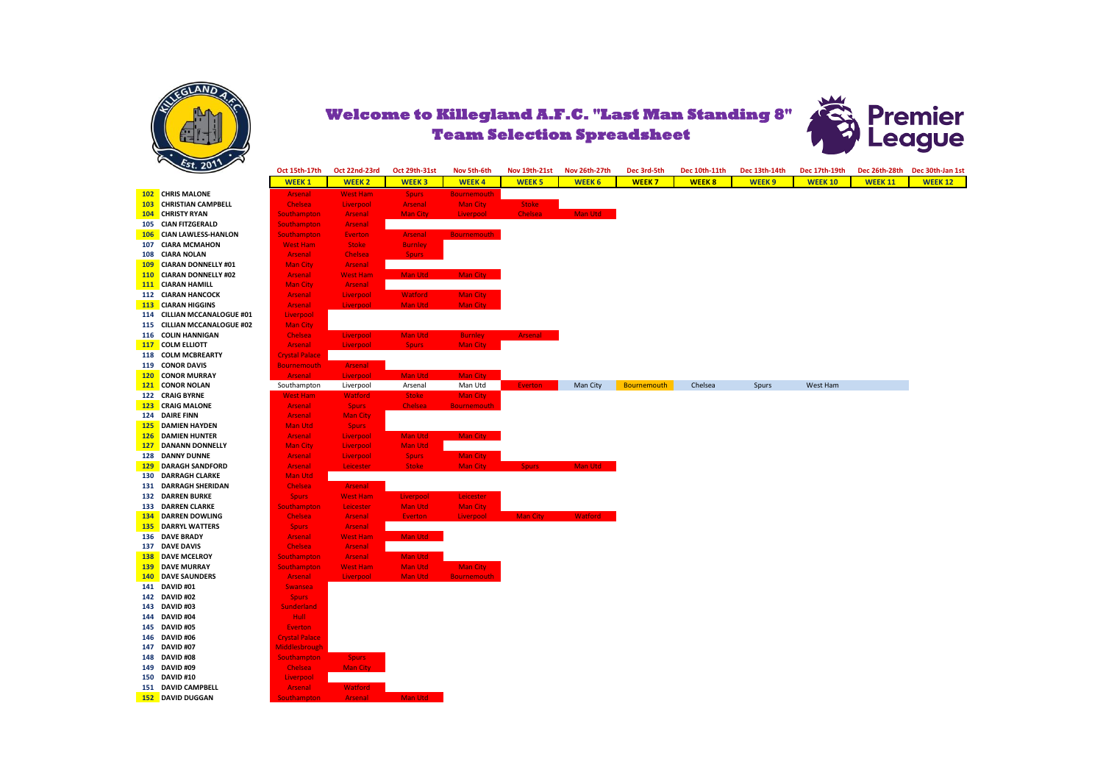



|                |                             | Oct 15th-17th         | Oct 22nd-23rd   | <b>Oct 29th-31st</b> | Nov 5th-6th        | <b>Nov 19th-21st</b> | Nov 26th-27th  | Dec 3rd-5th  | Dec 10th-11th | Dec 13th-14th | Dec 17th-19th  | Dec 26th-28th  | Dec 30th-Jan 1st |
|----------------|-----------------------------|-----------------------|-----------------|----------------------|--------------------|----------------------|----------------|--------------|---------------|---------------|----------------|----------------|------------------|
|                |                             | <b>WEEK1</b>          | <b>WEEK2</b>    | <b>WEEK3</b>         | <b>WEEK4</b>       | <b>WEEK 5</b>        | <b>WEEK 6</b>  | <b>WEEK7</b> | <b>WEEK 8</b> | <b>WEEK9</b>  | <b>WEEK 10</b> | <b>WEEK 11</b> | <b>WEEK 12</b>   |
|                | 102 CHRIS MALONE            | <b>Arsenal</b>        | <b>West Ham</b> | <b>Spurs</b>         | <b>Bournemouth</b> |                      |                |              |               |               |                |                |                  |
|                | 103 CHRISTIAN CAMPBELL      | <b>Chelsea</b>        | Liverpool       | Arsenal              | <b>Man City</b>    | <b>Stoke</b>         |                |              |               |               |                |                |                  |
|                | 104 CHRISTY RYAN            | <b>Southampton</b>    | Arsenal         | <b>Man City</b>      | Liverpool          | Chelsea              | Man Utd        |              |               |               |                |                |                  |
|                | 105 CIAN FITZGERALD         | Southampton           | Arsenal         |                      |                    |                      |                |              |               |               |                |                |                  |
|                | 106 CIAN LAWLESS-HANLON     | Southampton           | <b>Everton</b>  | Arsenal              | <b>Bournemouth</b> |                      |                |              |               |               |                |                |                  |
|                | 107 CIARA MCMAHON           | <b>West Ham</b>       | <b>Stoke</b>    | <b>Burnley</b>       |                    |                      |                |              |               |               |                |                |                  |
|                | 108 CIARA NOLAN             | <b>Arsenal</b>        | <b>Chelsea</b>  | <b>Spurs</b>         |                    |                      |                |              |               |               |                |                |                  |
|                | 109 CIARAN DONNELLY #01     | <b>Man City</b>       | Arsenal         |                      |                    |                      |                |              |               |               |                |                |                  |
|                | 110 CIARAN DONNELLY #02     | <b>Arsenal</b>        | <b>West Ham</b> | Man Utd              | Man City           |                      |                |              |               |               |                |                |                  |
|                | 111 CIARAN HAMILL           | <b>Man City</b>       | Arsenal         |                      |                    |                      |                |              |               |               |                |                |                  |
|                | 112 CIARAN HANCOCK          | <b>Arsenal</b>        | Liverpool       | <b>Watford</b>       | <b>Man City</b>    |                      |                |              |               |               |                |                |                  |
|                | <b>113 CIARAN HIGGINS</b>   | Arsenal               | Liverpool       | <b>Man Utd</b>       | Man City           |                      |                |              |               |               |                |                |                  |
|                | 114 CILLIAN MCCANALOGUE #01 | Liverpool             |                 |                      |                    |                      |                |              |               |               |                |                |                  |
|                | 115 CILLIAN MCCANALOGUE #02 | <b>Man City</b>       |                 |                      |                    |                      |                |              |               |               |                |                |                  |
|                | 116 COLIN HANNIGAN          | Chelsea               | Liverpool       | <b>Man Utd</b>       | <b>Burnley</b>     | Arsenal              |                |              |               |               |                |                |                  |
|                | 117 COLM ELLIOTT            | Arsenal               | Liverpool       | <b>Spurs</b>         | <b>Man City</b>    |                      |                |              |               |               |                |                |                  |
|                | 118 COLM MCBREARTY          | <b>Crystal Palace</b> |                 |                      |                    |                      |                |              |               |               |                |                |                  |
|                | 119 CONOR DAVIS             | <b>Bournemouth</b>    | Arsenal         |                      |                    |                      |                |              |               |               |                |                |                  |
|                | 120 CONOR MURRAY            | <b>Arsenal</b>        | Liverpool       | <b>Man Utd</b>       | <b>Man City</b>    |                      |                |              |               |               |                |                |                  |
|                | 121 CONOR NOLAN             | Southampton           | Liverpool       | Arsenal              | Man Utd            | <b>Everton</b>       | Man City       | Bournemouth  | Chelsea       | Spurs         | West Ham       |                |                  |
|                | 122 CRAIG BYRNE             | <b>West Ham</b>       | <b>Watford</b>  | <b>Stoke</b>         | <b>Man City</b>    |                      |                |              |               |               |                |                |                  |
|                | 123 CRAIG MALONE            | <b>Arsenal</b>        | <b>Spurs</b>    | Chelsea              | <b>Bournemouth</b> |                      |                |              |               |               |                |                |                  |
| 124 DAIRE FINN |                             | <b>Arsenal</b>        | <b>Man City</b> |                      |                    |                      |                |              |               |               |                |                |                  |
|                | 125 DAMIEN HAYDEN           | Man Utd               | <b>Spurs</b>    |                      |                    |                      |                |              |               |               |                |                |                  |
|                | 126 DAMIEN HUNTER           | <b>Arsenal</b>        | Liverpool       | Man Utd              | <b>Man City</b>    |                      |                |              |               |               |                |                |                  |
|                | 127 DANANN DONNELLY         | <b>Man City</b>       | Liverpool       | <b>Man Utd</b>       |                    |                      |                |              |               |               |                |                |                  |
|                | <b>128 DANNY DUNNE</b>      | <b>Arsenal</b>        | Liverpool       | <b>Spurs</b>         | Man City           |                      |                |              |               |               |                |                |                  |
|                | 129 DARAGH SANDFORD         | <b>Arsenal</b>        | Leicester       | <b>Stoke</b>         | <b>Man City</b>    | <b>Spurs</b>         | Man Utd        |              |               |               |                |                |                  |
|                | <b>130 DARRAGH CLARKE</b>   | Man Utd               |                 |                      |                    |                      |                |              |               |               |                |                |                  |
|                | 131 DARRAGH SHERIDAN        | Chelsea               | Arsenal         |                      |                    |                      |                |              |               |               |                |                |                  |
|                | <b>132 DARREN BURKE</b>     | <b>Spurs</b>          | <b>West Ham</b> | Liverpool            | Leicester          |                      |                |              |               |               |                |                |                  |
|                | 133 DARREN CLARKE           | <b>Southampton</b>    | Leicester       | Man Utd              | <b>Man City</b>    |                      |                |              |               |               |                |                |                  |
|                | <b>134 DARREN DOWLING</b>   | <b>Chelsea</b>        | Arsenal         | <b>Everton</b>       | Liverpool          | <b>Man City</b>      | <b>Watford</b> |              |               |               |                |                |                  |
|                | <b>135 DARRYL WATTERS</b>   | <b>Spurs</b>          | Arsenal         |                      |                    |                      |                |              |               |               |                |                |                  |
|                | 136 DAVE BRADY              | <b>Arsenal</b>        | <b>West Ham</b> | Man Utd              |                    |                      |                |              |               |               |                |                |                  |
|                | 137 DAVE DAVIS              | <b>Chelsea</b>        | <b>Arsenal</b>  |                      |                    |                      |                |              |               |               |                |                |                  |
|                | <b>138 DAVE MCELROY</b>     | <b>Southampton</b>    | <b>Arsenal</b>  | Man Utd              |                    |                      |                |              |               |               |                |                |                  |
|                | 139 DAVE MURRAY             | <b>Southampton</b>    | <b>West Ham</b> | <b>Man Utd</b>       | <b>Man City</b>    |                      |                |              |               |               |                |                |                  |
|                | <b>140 DAVE SAUNDERS</b>    | <b>Arsenal</b>        | Liverpool       | <b>Man Utd</b>       | <b>Bournemouth</b> |                      |                |              |               |               |                |                |                  |
| 141 DAVID #01  |                             | <b>Swansea</b>        |                 |                      |                    |                      |                |              |               |               |                |                |                  |
| 142 DAVID #02  |                             | <b>Spurs</b>          |                 |                      |                    |                      |                |              |               |               |                |                |                  |
| 143 DAVID #03  |                             | <b>Sunderland</b>     |                 |                      |                    |                      |                |              |               |               |                |                |                  |
| 144 DAVID #04  |                             | Hull:                 |                 |                      |                    |                      |                |              |               |               |                |                |                  |
| 145 DAVID #05  |                             | <b>Everton</b>        |                 |                      |                    |                      |                |              |               |               |                |                |                  |
| 146 DAVID #06  |                             | <b>Crystal Palace</b> |                 |                      |                    |                      |                |              |               |               |                |                |                  |
| 147 DAVID #07  |                             | Middlesbrough         |                 |                      |                    |                      |                |              |               |               |                |                |                  |
| 148 DAVID #08  |                             | <b>Southampton</b>    | <b>Spurs</b>    |                      |                    |                      |                |              |               |               |                |                |                  |
| 149 DAVID #09  |                             | <b>Chelsea</b>        | <b>Man City</b> |                      |                    |                      |                |              |               |               |                |                |                  |
| 150 DAVID #10  |                             | Liverpool             |                 |                      |                    |                      |                |              |               |               |                |                |                  |
|                | 151 DAVID CAMPBELL          | Arsenal               | <b>Watford</b>  |                      |                    |                      |                |              |               |               |                |                |                  |
|                | 152 DAVID DUGGAN            | <b>Southampton</b>    | Arsenal         | Man Utd              |                    |                      |                |              |               |               |                |                |                  |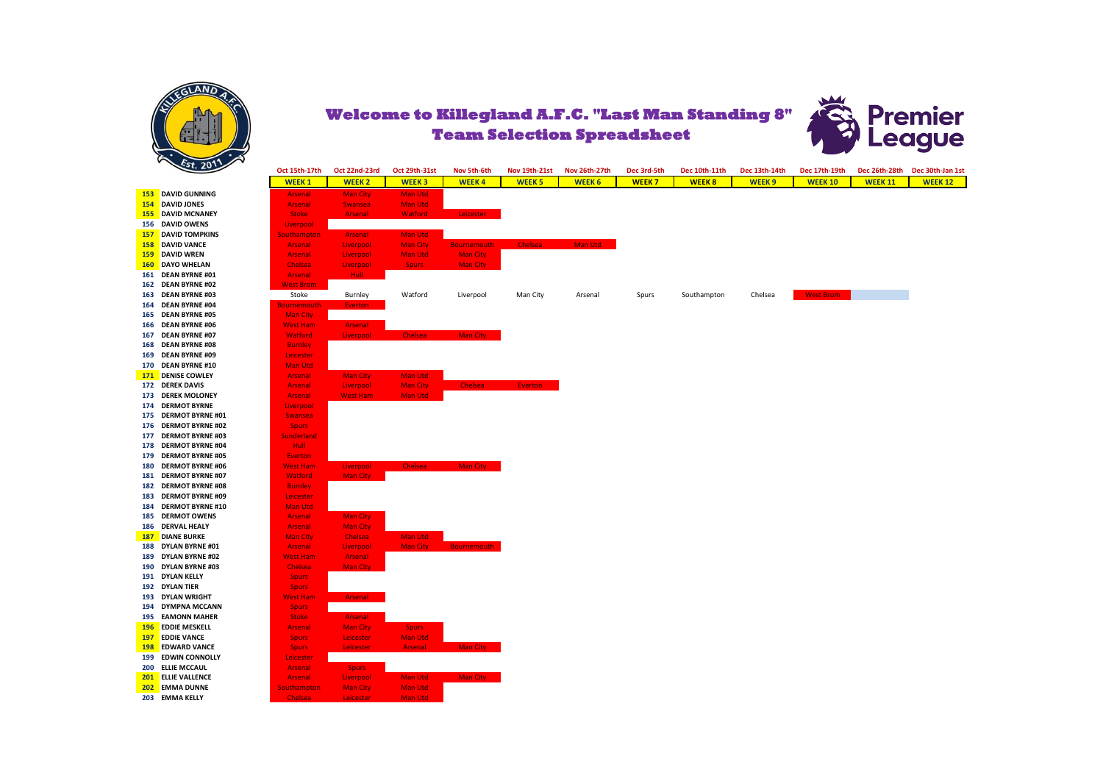



| 20.20                     | Oct 15th-17th      | Oct 22nd-23rd   | Oct 29th-31st   | Nov 5th-6th        | <b>Nov 19th-21st</b> | Nov 26th-27th | Dec 3rd-5th  | Dec 10th-11th | Dec 13th-14th     | Dec 17th-19th    |                | Dec 26th-28th Dec 30th-Jan 1st |
|---------------------------|--------------------|-----------------|-----------------|--------------------|----------------------|---------------|--------------|---------------|-------------------|------------------|----------------|--------------------------------|
|                           | <b>WEEK1</b>       | <b>WEEK2</b>    | <b>WEEK3</b>    | <b>WEEK4</b>       | <b>WEEK 5</b>        | <b>WEEK 6</b> | <b>WEEK7</b> | <b>WEEK 8</b> | WEEK <sub>9</sub> | <b>WEEK 10</b>   | <b>WEEK 11</b> | <b>WEEK 12</b>                 |
| 153 DAVID GUNNING         | <b>Arsenal</b>     | <b>Man City</b> | Man Utd         |                    |                      |               |              |               |                   |                  |                |                                |
| 154 DAVID JONES           | <b>Arsenal</b>     | <b>Swansea</b>  | <b>Man Utd</b>  |                    |                      |               |              |               |                   |                  |                |                                |
| 155 DAVID MCNANEY         | <b>Stoke</b>       | Arsenal         | <b>Watford</b>  | Leicester          |                      |               |              |               |                   |                  |                |                                |
| 156 DAVID OWENS           | Liverpool          |                 |                 |                    |                      |               |              |               |                   |                  |                |                                |
| <b>157 DAVID TOMPKINS</b> | <b>Southampton</b> | Arsenal         | <b>Man Utd</b>  |                    |                      |               |              |               |                   |                  |                |                                |
| 158 DAVID VANCE           | <b>Arsenal</b>     | Liverpool       | <b>Man City</b> | <b>Bournemouth</b> | <b>Chelsea</b>       | Man Utd       |              |               |                   |                  |                |                                |
| 159 DAVID WREN            | <b>Arsenal</b>     | Liverpool       | <b>Man Utd</b>  | <b>Man City</b>    |                      |               |              |               |                   |                  |                |                                |
| 160 DAYO WHELAN           | <b>Chelsea</b>     | Liverpool       | <b>Spurs</b>    | <b>Man City</b>    |                      |               |              |               |                   |                  |                |                                |
| 161 DEAN BYRNE #01        | Arsenal            | Hull -          |                 |                    |                      |               |              |               |                   |                  |                |                                |
| 162 DEAN BYRNE #02        | <b>West Brom</b>   |                 |                 |                    |                      |               |              |               |                   |                  |                |                                |
| 163 DEAN BYRNE #03        | Stoke              | Burnley         | Watford         | Liverpool          | Man City             | Arsenal       | Spurs        | Southampton   | Chelsea           | <b>West Brom</b> |                |                                |
| 164 DEAN BYRNE #04        | <b>Bournemouth</b> | <b>Everton</b>  |                 |                    |                      |               |              |               |                   |                  |                |                                |
| 165 DEAN BYRNE #05        | <b>Man City</b>    |                 |                 |                    |                      |               |              |               |                   |                  |                |                                |
| 166 DEAN BYRNE #06        | <b>West Ham</b>    | Arsenal         |                 |                    |                      |               |              |               |                   |                  |                |                                |
| 167 DEAN BYRNE #07        | <b>Watford</b>     | Liverpool       | <b>Chelsea</b>  | Man City           |                      |               |              |               |                   |                  |                |                                |
| 168 DEAN BYRNE #08        | <b>Burnley</b>     |                 |                 |                    |                      |               |              |               |                   |                  |                |                                |
| 169 DEAN BYRNE #09        | Leicester          |                 |                 |                    |                      |               |              |               |                   |                  |                |                                |
| 170 DEAN BYRNE #10        | Man Utd            |                 |                 |                    |                      |               |              |               |                   |                  |                |                                |
| 171 DENISE COWLEY         | <b>Arsenal</b>     | <b>Man City</b> | Man Utd         |                    |                      |               |              |               |                   |                  |                |                                |
| 172 DEREK DAVIS           | <b>Arsenal</b>     | Liverpool       | <b>Man City</b> | <b>Chelsea</b>     | Everton              |               |              |               |                   |                  |                |                                |
| 173 DEREK MOLONEY         | <b>Arsenal</b>     | <b>West Ham</b> | Man Utd         |                    |                      |               |              |               |                   |                  |                |                                |
| 174 DERMOT BYRNE          | Liverpool          |                 |                 |                    |                      |               |              |               |                   |                  |                |                                |
| 175 DERMOT BYRNE #01      | <b>Swansea</b>     |                 |                 |                    |                      |               |              |               |                   |                  |                |                                |
| 176 DERMOT BYRNE #02      | <b>Spurs</b>       |                 |                 |                    |                      |               |              |               |                   |                  |                |                                |
| 177 DERMOT BYRNE #03      | <b>Sunderland</b>  |                 |                 |                    |                      |               |              |               |                   |                  |                |                                |
| 178 DERMOT BYRNE #04      | Hull:              |                 |                 |                    |                      |               |              |               |                   |                  |                |                                |
| 179 DERMOT BYRNE #05      | <b>Everton</b>     |                 |                 |                    |                      |               |              |               |                   |                  |                |                                |
| 180 DERMOT BYRNE #06      | <b>West Ham</b>    | Liverpool       | <b>Chelsea</b>  | <b>Man City</b>    |                      |               |              |               |                   |                  |                |                                |
| 181 DERMOT BYRNE #07      | <b>Watford</b>     | Man City        |                 |                    |                      |               |              |               |                   |                  |                |                                |
| 182 DERMOT BYRNE #08      | <b>Burnley</b>     |                 |                 |                    |                      |               |              |               |                   |                  |                |                                |
| 183 DERMOT BYRNE #09      | Leicester          |                 |                 |                    |                      |               |              |               |                   |                  |                |                                |
| 184 DERMOT BYRNE #10      | Man Utd            |                 |                 |                    |                      |               |              |               |                   |                  |                |                                |
| <b>185 DERMOT OWENS</b>   | <b>Arsenal</b>     | <b>Man City</b> |                 |                    |                      |               |              |               |                   |                  |                |                                |
| 186 DERVAL HEALY          | <b>Arsenal</b>     | <b>Man City</b> |                 |                    |                      |               |              |               |                   |                  |                |                                |
| <b>187 DIANE BURKE</b>    | <b>Man City</b>    | <b>Chelsea</b>  | Man Utd         |                    |                      |               |              |               |                   |                  |                |                                |
| 188 DYLAN BYRNE #01       | Arsenal            | Liverpool       | <b>Man City</b> | <b>Bournemouth</b> |                      |               |              |               |                   |                  |                |                                |
| 189 DYLAN BYRNE #02       | <b>West Ham</b>    | <b>Arsenal</b>  |                 |                    |                      |               |              |               |                   |                  |                |                                |
| 190 DYLAN BYRNE #03       | Chelsea            | <b>Man City</b> |                 |                    |                      |               |              |               |                   |                  |                |                                |
| 191 DYLAN KELLY           | <b>Spurs</b>       |                 |                 |                    |                      |               |              |               |                   |                  |                |                                |
| 192 DYLAN TIER            | <b>Spurs</b>       |                 |                 |                    |                      |               |              |               |                   |                  |                |                                |
| 193 DYLAN WRIGHT          | <b>West Ham</b>    | Arsenal         |                 |                    |                      |               |              |               |                   |                  |                |                                |
| 194 DYMPNA MCCANN         | <b>Spurs</b>       |                 |                 |                    |                      |               |              |               |                   |                  |                |                                |
| 195 EAMONN MAHER          | <b>Stoke</b>       | Arsenal         |                 |                    |                      |               |              |               |                   |                  |                |                                |
| 196 EDDIE MESKELL         | <b>Arsenal</b>     | <b>Man City</b> | <b>Spurs</b>    |                    |                      |               |              |               |                   |                  |                |                                |
| 197 EDDIE VANCE           | <b>Spurs</b>       | Leicester       | <b>Man Utd</b>  |                    |                      |               |              |               |                   |                  |                |                                |
| 198 EDWARD VANCE          | <b>Spurs</b>       | Leicester       | Arsenal         | Man City           |                      |               |              |               |                   |                  |                |                                |
| 199 EDWIN CONNOLLY        |                    |                 |                 |                    |                      |               |              |               |                   |                  |                |                                |
| 200 ELLIE MCCAUL          | Leicester          |                 |                 |                    |                      |               |              |               |                   |                  |                |                                |
|                           | <b>Arsenal</b>     | <b>Spurs</b>    |                 |                    |                      |               |              |               |                   |                  |                |                                |
| <b>201 ELLIE VALLENCE</b> | <b>Arsenal</b>     | Liverpool       | Man Utd         | Man City           |                      |               |              |               |                   |                  |                |                                |
| 202 EMMA DUNNE            | <b>Southampton</b> | <b>Man City</b> | Man Utd         |                    |                      |               |              |               |                   |                  |                |                                |
| 203 EMMA KELLY            | <b>Chelsea</b>     | Leicester       | Man Utd         |                    |                      |               |              |               |                   |                  |                |                                |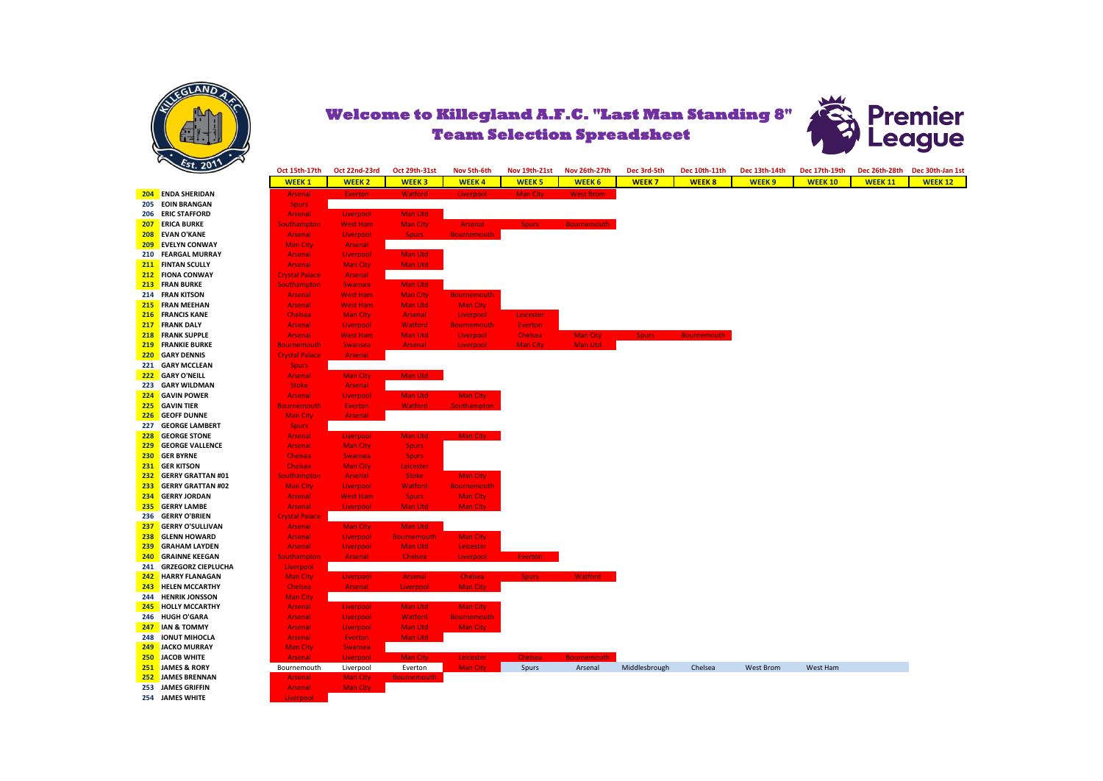



Oct 15th-17th Oct 22nd-23rd Oct 29th-31st Nov 5th-6th Nov 19th-21st Nov 26th-27th Dec 3rd-5th Dec 10th-11th Dec 13th-14th Dec 17th-19th Dec 26th-28th Dec 30th-lan 1st **WEEK 1 WEEK 2 WEEK 3 WEEK 4 WEEK 5 WEEK 6 WEEK 7 WEEK 8 WEEK 9 WEEK 10 WEEK 11 WEEK 12 204 ENDA SHERIDAN** Arsenal Everton Watford Liverpool Man City West Brom **205 EQIN BRANGAN 206 ERIC STAFFORD Arsenal Liverpool Man Utd Arsenal Liverpool Man Utd Arsenal Liverpool Man City** 207 ERICA BURKE Southampton West Ham Man City Arsenal Spurs Bournemouth **208 EVAN O'KANE Arsenal Liverpool Spurs Bournemouth CONTACT ARE ARREST ARREST ARREST ARREST ARREST ARREST ARREST ARREST ARREST ARREST ARREST ARREST ARREST ARREST ARREST ARREST ARREST ARREST ARREST ARREST ARREST ARREST A 209 EVELYN CONWAY 210 FEARGAL MURRAY Arsenal Liverpool Man Utd 211 FINTAN SCULLY Arsenal Man Utd Arsenal Man Utd 211 <b>FINTAN SCULLY** Arsenal Arsenal Arsenal Man Utd. 212 **FIONA CONWAY 212 FIONA CONWAY** Crystal Palace Arsenal Crystal Palace Arsenal Crystal Palace Arsenal **213 FRAN BURKE** Southampton Swansea Man Utd **214 FRAN KITSON Arsenal West Ham Man City Bournemouth Arsenal West Ham Man City Bournemouth Arsenal West Ham Man City 215 FRAN MEEHAN Arsenal** West Ham Man Utd Man City<br>**216 FRANCIS KANE Chelsea** Man City Arsenal Liverpool **216 FRANCIS KANE** Chelsea Man City Arsenal Liverpool Leicester **217 FRANK DALY 218 FRANK SUPPLE Arsenal West Ham Man Utd Liverpool Chelsea Man City Spurs Bourne 219 FRANKIE BURKE** Bournemouth Swansea Arsenal Liverpool Man City Man Utd **220 GARY DENNIS Crystal Palace Arsenal 221 GARY MCCLEAN** Spurs **222 GARY O'NEILL Arsenal Man City** Man Utd **223 GARY WILDMAN** Stoke Arsenal **224 GAVIN POWER** Arsenal Liverpool Man Utd Man City **225 GAVIN TIER 226 GEOFF DUNNE Man City Arsenal 227 GEORGE LAMBERT Spurs 228 GEORGE STONE** Arsenal Liverpool Man Utd Man City **229 GEORGE VALLENCE CONSIDERING Arsenal Man City Spurs 230 GER BYRNE Chelsea** Swansea Spurs **231 GER KITSON Chelsea** Man City Leicester<br>**232 GERRY GRATTAN #01** Southampton Arsenal Stoke **232 GERRY GRATTAN #01** Southampton Arsenal Stoke Man City **233 GERRY GRATTAN #02 234 GERRY JORDAN Arsenal West Ham Spurs Man City 235 GERRY LAMBE** Arsenal Liverpool Man Utd Man City **236 GERRY O'BRIEN** Crystal Palace **237 GERRY O'SULLIVAN Arsenal Man City Man Utd**<br>**238 GLENN HOWARD Arsenal Liverpool Bournemouth 238 GLENN HOWARD Arsenal Liverpool Bournemouth Man City 239 GRAHAM LAYDEN** Arsenal Liverpool Man Utd Leicester **240 GRAINNE KEEGAN** Southampton Arsenal Chelsea Liverpool **241 GRZEGORZ CIEPLUCHA** Liverpool **242 <b>HARRY FLANAGAN** Man City **Contact Article Chelsea** Chelsea **243 HELEN MCCARTHY Chelsea Arsenal Liverpool Man City 244 <b>HENRIK JONSSON** Man City **245 HOLLY MCCARTHY** Arsenal Liverpool Man Utd Man City **246 HUGH O'GARA Arsenal Liverpool Watford Bournemouth Arsenal Liverpool Man Util Man Cit 247 IAN & TOMMY Arsenal Liverpool Man Utd 248 IONUT MIHOCLA Arsenal Everton Man Utd 249 JACKO MURRAY** Man City Swansea **250 JACOB WHITE Arsenal Liverpool Man City** Leicester Leicester Chelsea Bournemouth Liverpool Everton Man City **251 JAMES & RORY** Bournemouth Liverpool Everton Man City Spurs Arsenal Middlesbrough Chelsea West Brom West Ham **252 JAMES BRENNAN Arsenal** Man City **253 JAMES GRIFFIN Arsenal** Man City **254 JAMES WHITE**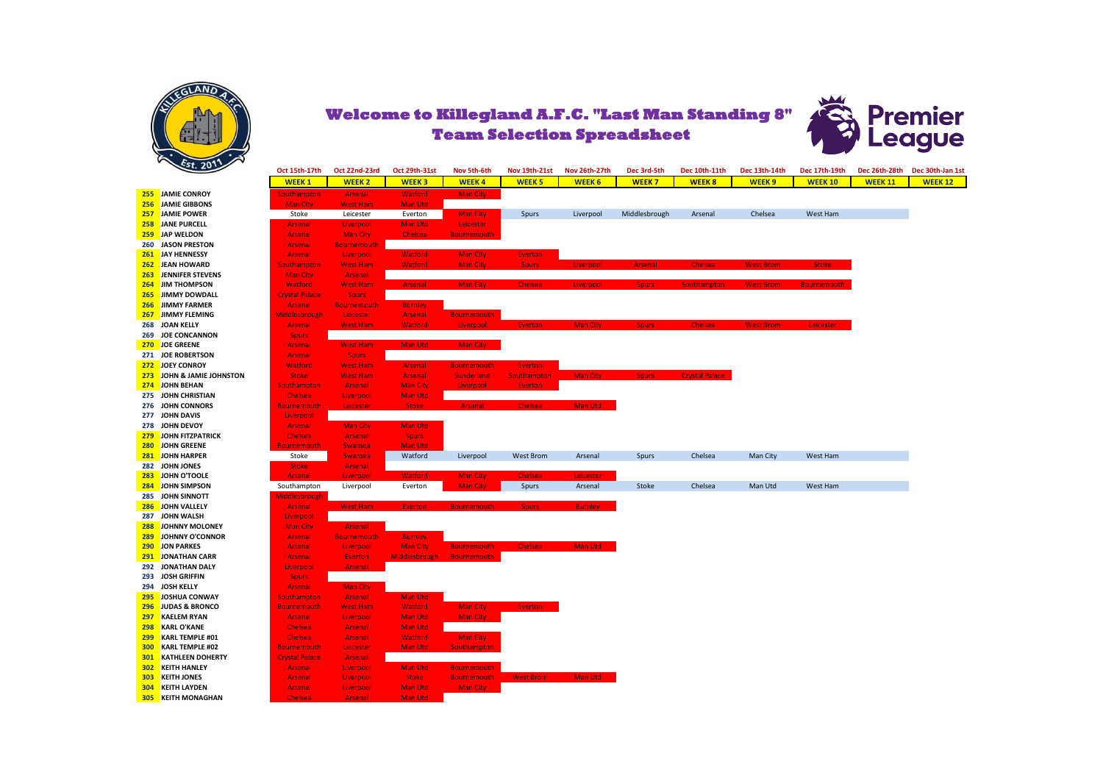



|     | $-5t.2012$                |                       |                    |                      |                    |                      |                 |               |                       |                  |                    |                |                  |
|-----|---------------------------|-----------------------|--------------------|----------------------|--------------------|----------------------|-----------------|---------------|-----------------------|------------------|--------------------|----------------|------------------|
|     |                           | Oct 15th-17th         | Oct 22nd-23rd      | Oct 29th-31st        | Nov 5th-6th        | <b>Nov 19th-21st</b> | Nov 26th-27th   | Dec 3rd-5th   | Dec 10th-11th         | Dec 13th-14th    | Dec 17th-19th      | Dec 26th-28th  | Dec 30th-Jan 1st |
|     |                           | <b>WEEK1</b>          | <b>WEEK 2</b>      | <b>WEEK3</b>         | <b>WEEK4</b>       | <b>WEEK 5</b>        | <b>WEEK 6</b>   | <b>WEEK7</b>  | <b>WEEK 8</b>         | <b>WEEK 9</b>    | <b>WEEK 10</b>     | <b>WEEK 11</b> | <b>WEEK 12</b>   |
|     | 255 JAMIE CONROY          | Southampton           | Arsenal            | <b>Watford</b>       | <b>Man City</b>    |                      |                 |               |                       |                  |                    |                |                  |
|     | 256 JAMIE GIBBONS         | <b>Man City</b>       | <b>West Ham</b>    | Man Utd              |                    |                      |                 |               |                       |                  |                    |                |                  |
| 257 | JAMIE POWER               | Stoke                 | Leicester          | Everton              | <b>Man City</b>    | Spurs                | Liverpool       | Middlesbrough | Arsenal               | Chelsea          | West Ham           |                |                  |
|     | 258 JANE PURCELL          | Arsenal               | Liverpool          | Man Utd              | Leicester          |                      |                 |               |                       |                  |                    |                |                  |
| 259 | JAP WELDON                | Arsenal               | <b>Man City</b>    | <b>Chelsea</b>       | <b>Bournemouth</b> |                      |                 |               |                       |                  |                    |                |                  |
|     | 260 JASON PRESTON         | <b>Arsenal</b>        | <b>Bournemouth</b> |                      |                    |                      |                 |               |                       |                  |                    |                |                  |
| 261 | JAY HENNESSY              | Arsenal               | Liverpool          | <b>Watford</b>       | <b>Man City</b>    | <b>Everton</b>       |                 |               |                       |                  |                    |                |                  |
| 262 | <b>JEAN HOWARD</b>        | <b>Southampton</b>    | <b>West Ham</b>    | <b>Watford</b>       | <b>Man City</b>    | <b>Spurs</b>         | Liverpool       | Arsenal       | <b>Chelsea</b>        | <b>West Brom</b> | <b>Stoke</b>       |                |                  |
| 263 | JENNIFER STEVENS          | <b>Man City</b>       | Arsenal            |                      |                    |                      |                 |               |                       |                  |                    |                |                  |
| 264 | <b>JIM THOMPSON</b>       | <b>Watford</b>        | <b>West Ham</b>    | Arsenal              | <b>Man City</b>    | <b>Chelsea</b>       | Liverpool       | <b>Spurs</b>  | Southampton           | <b>West Brom</b> | <b>Bournemouth</b> |                |                  |
| 265 | <b>JIMMY DOWDALL</b>      | <b>Crystal Palace</b> | <b>Spurs</b>       |                      |                    |                      |                 |               |                       |                  |                    |                |                  |
|     | 266 JIMMY FARMER          | <b>Arsenal</b>        | <b>Bournemouth</b> | <b>Burnley</b>       |                    |                      |                 |               |                       |                  |                    |                |                  |
| 267 | <b>JIMMY FLEMING</b>      | Middlesbrough         | Leicester          | Arsenal              | <b>Bournemouth</b> |                      |                 |               |                       |                  |                    |                |                  |
|     | 268 JOAN KELLY            | <b>Arsenal</b>        | <b>West Ham</b>    | <b>Watford</b>       | Liverpool          | <b>Everton</b>       | <b>Man City</b> | <b>Spurs</b>  | <b>Chelsea</b>        | <b>West Brom</b> | Leicester          |                |                  |
|     | 269 JOE CONCANNON         | <b>Spurs</b>          |                    |                      |                    |                      |                 |               |                       |                  |                    |                |                  |
|     | 270 JOE GREENE            | Arsenal               | <b>West Ham</b>    | Man Utd              | <b>Man City</b>    |                      |                 |               |                       |                  |                    |                |                  |
|     | 271 JOE ROBERTSON         | <b>Arsenal</b>        | <b>Spurs</b>       |                      |                    |                      |                 |               |                       |                  |                    |                |                  |
|     | 272 JOEY CONROY           | <b>Watford</b>        | <b>West Ham</b>    | Arsenal              | <b>Bournemouth</b> | <b>Everton</b>       |                 |               |                       |                  |                    |                |                  |
|     | 273 JOHN & JAMIE JOHNSTON | <b>Stoke</b>          | <b>West Ham</b>    | Arsenal              | <b>Sunderland</b>  | <b>Southampton</b>   | <b>Man City</b> | <b>Spurs</b>  | <b>Crystal Palace</b> |                  |                    |                |                  |
|     | 274 JOHN BEHAN            | <b>Southampton</b>    | Arsenal            | <b>Man City</b>      | Liverpool          | <b>Everton</b>       |                 |               |                       |                  |                    |                |                  |
|     | 275 JOHN CHRISTIAN        | <b>Chelsea</b>        | Liverpool          | Man Utd              |                    |                      |                 |               |                       |                  |                    |                |                  |
|     | 276 JOHN CONNORS          | <b>Bournemouth</b>    | Leicester          | <b>Stoke</b>         | Arsenal            | <b>Chelsea</b>       | Man Utd         |               |                       |                  |                    |                |                  |
|     | 277 JOHN DAVIS            | Liverpool             |                    |                      |                    |                      |                 |               |                       |                  |                    |                |                  |
|     | 278 JOHN DEVOY            | Arsenal               | <b>Man City</b>    | Man Utd              |                    |                      |                 |               |                       |                  |                    |                |                  |
| 279 | JOHN FITZPATRICK          | <b>Chelsea</b>        | <b>Arsenal</b>     | <b>Spurs</b>         |                    |                      |                 |               |                       |                  |                    |                |                  |
| 280 | JOHN GREENE               | <b>Bournemouth</b>    | <b>Swansea</b>     | Man Utd              |                    |                      |                 |               |                       |                  |                    |                |                  |
| 281 | JOHN HARPER               | Stoke                 | <b>Swansea</b>     | Watford              | Liverpool          | <b>West Brom</b>     | Arsenal         | Spurs         | Chelsea               | Man City         | West Ham           |                |                  |
|     | 282 JOHN JONES            | <b>Stoke</b>          | <b>Arsenal</b>     |                      |                    |                      |                 |               |                       |                  |                    |                |                  |
|     | 283 JOHN O'TOOLE          | Arsenal               | Liverpool          | <b>Watford</b>       | <b>Man City</b>    | <b>Chelsea</b>       | Leicester       |               |                       |                  |                    |                |                  |
|     | 284 JOHN SIMPSON          | Southampton           | Liverpool          | Everton              | <b>Man City</b>    | Spurs                | Arsenal         | Stoke         | Chelsea               | Man Utd          | West Ham           |                |                  |
|     | 285 JOHN SINNOTT          | Middlesbrough         |                    |                      |                    |                      |                 |               |                       |                  |                    |                |                  |
|     | 286 JOHN VALLELY          | Arsenal               | <b>West Ham</b>    | <b>Everton</b>       | <b>Bournemouth</b> | <b>Spurs</b>         | <b>Burnley</b>  |               |                       |                  |                    |                |                  |
|     | 287 JOHN WALSH            | Liverpool             |                    |                      |                    |                      |                 |               |                       |                  |                    |                |                  |
| 288 | JOHNNY MOLONEY            | <b>Man City</b>       | Arsenal            |                      |                    |                      |                 |               |                       |                  |                    |                |                  |
| 289 | JOHNNY O'CONNOR           | Arsenal               | <b>Bournemouth</b> | <b>Burnley</b>       |                    |                      |                 |               |                       |                  |                    |                |                  |
|     | 290 JON PARKES            | Arsenal               | Liverpool          | <b>Man City</b>      | <b>Bournemouth</b> | <b>Chelsea</b>       | Man Utd         |               |                       |                  |                    |                |                  |
| 291 | JONATHAN CARR             | Arsenal               | <b>Everton</b>     | <b>Middlesbrough</b> | Bournemouth        |                      |                 |               |                       |                  |                    |                |                  |
|     | 292 JONATHAN DALY         | Liverpool             | <b>Arsenal</b>     |                      |                    |                      |                 |               |                       |                  |                    |                |                  |
|     | 293 JOSH GRIFFIN          | <b>Spurs</b>          |                    |                      |                    |                      |                 |               |                       |                  |                    |                |                  |
|     | 294 JOSH KELLY            | Arsenal               | <b>Man City</b>    |                      |                    |                      |                 |               |                       |                  |                    |                |                  |
|     | 295 JOSHUA CONWAY         | <b>Southampton</b>    | <b>Arsenal</b>     | Man Utd              |                    |                      |                 |               |                       |                  |                    |                |                  |
| 296 | <b>JUDAS &amp; BRONCO</b> | <b>Bournemouth</b>    | <b>West Ham</b>    | <b>Watford</b>       | <b>Man City</b>    | <b>Everton</b>       |                 |               |                       |                  |                    |                |                  |
| 297 | <b>KAELEM RYAN</b>        | Arsenal               | Liverpool          | <b>Man Utd</b>       | Man City           |                      |                 |               |                       |                  |                    |                |                  |
| 298 | KARL O'KANE               | <b>Chelsea</b>        | <b>Arsenal</b>     | <b>Man Utd</b>       |                    |                      |                 |               |                       |                  |                    |                |                  |
| 299 | <b>KARL TEMPLE #01</b>    | <b>Chelsea</b>        | Arsenal            | <b>Watford</b>       | <b>Man City</b>    |                      |                 |               |                       |                  |                    |                |                  |
| 300 | <b>KARL TEMPLE #02</b>    | <b>Bournemouth</b>    | Leicester          | Man Utd              | <b>Southampton</b> |                      |                 |               |                       |                  |                    |                |                  |
| 301 | <b>KATHLEEN DOHERTY</b>   | <b>Crystal Palace</b> | Arsenal            |                      |                    |                      |                 |               |                       |                  |                    |                |                  |
| 302 | <b>KEITH HANLEY</b>       | Arsenal               | Liverpool          | <b>Man Utd</b>       | <b>Bournemouth</b> |                      |                 |               |                       |                  |                    |                |                  |
| 303 | <b>KEITH JONES</b>        | Arsenal               | Liverpool          | <b>Stoke</b>         | <b>Bournemouth</b> | <b>West Brom</b>     | Man Utd         |               |                       |                  |                    |                |                  |
|     | <b>304 KEITH LAYDEN</b>   | Arsenal               | Liverpool          | <b>Man Utd</b>       | <b>Man City</b>    |                      |                 |               |                       |                  |                    |                |                  |
|     | <b>305 KEITH MONAGHAN</b> | Chelsea               | <b>Arsenal</b>     | Man Utd              |                    |                      |                 |               |                       |                  |                    |                |                  |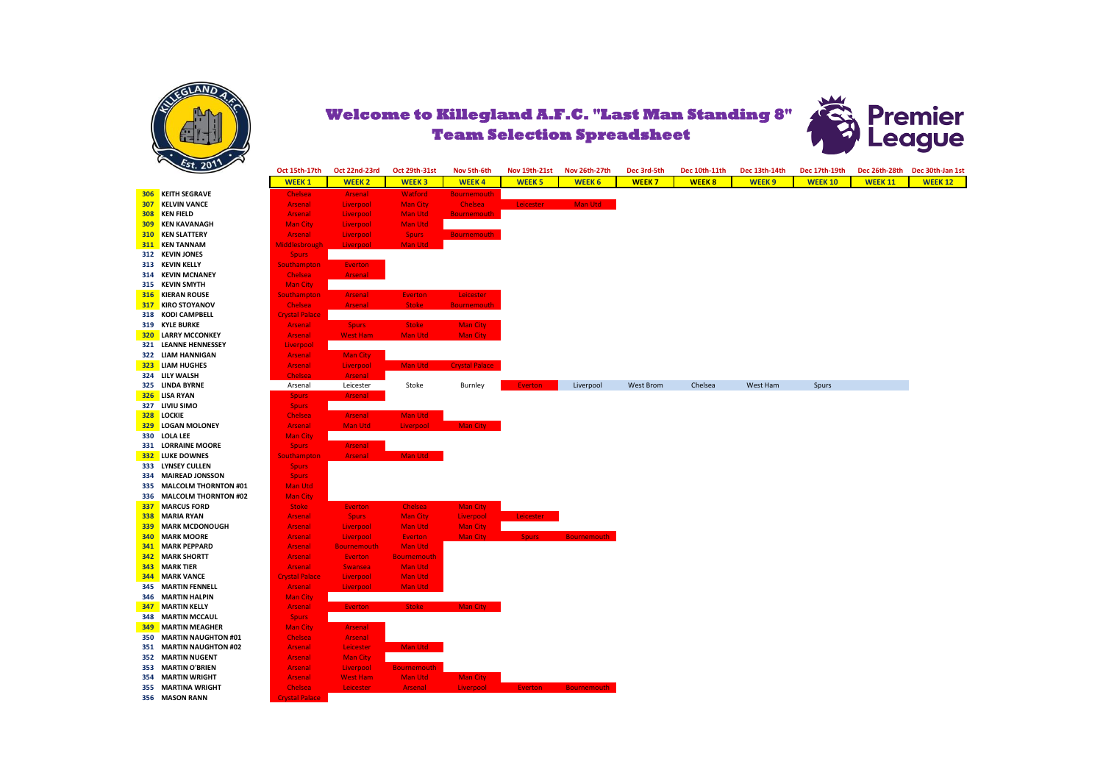



|     | 20.20                      | Oct 15th-17th         | Oct 22nd-23rd      | Oct 29th-31st      | Nov 5th-6th           | <b>Nov 19th-21st</b> | Nov 26th-27th      | Dec 3rd-5th      | Dec 10th-11th | Dec 13th-14th | Dec 17th-19th  |                | Dec 26th-28th Dec 30th-Jan 1st |
|-----|----------------------------|-----------------------|--------------------|--------------------|-----------------------|----------------------|--------------------|------------------|---------------|---------------|----------------|----------------|--------------------------------|
|     |                            | <b>WEEK1</b>          | <b>WEEK 2</b>      | <b>WEEK3</b>       | <b>WEEK4</b>          | <b>WEEK 5</b>        | <b>WEEK 6</b>      | <b>WEEK7</b>     | <b>WEEK8</b>  | <b>WEEK9</b>  | <b>WEEK 10</b> | <b>WEEK 11</b> | <b>WEEK 12</b>                 |
|     | <b>306 KEITH SEGRAVE</b>   | Chelsea               | <b>Arsenal</b>     | <b>Watford</b>     | <b>Bournemouth</b>    |                      |                    |                  |               |               |                |                |                                |
| 307 | <b>KELVIN VANCE</b>        | <b>Arsenal</b>        | Liverpool          | <b>Man City</b>    | Chelsea               | Leicester            | Man Utd            |                  |               |               |                |                |                                |
|     | <b>308 KEN FIELD</b>       | <b>Arsenal</b>        | Liverpool          | <b>Man Utd</b>     | <b>Bournemouth</b>    |                      |                    |                  |               |               |                |                |                                |
|     | <b>309 KEN KAVANAGH</b>    | <b>Man City</b>       | Liverpool          | <b>Man Utd</b>     |                       |                      |                    |                  |               |               |                |                |                                |
|     | <b>310 KEN SLATTERY</b>    | <b>Arsenal</b>        | Liverpool          | <b>Spurs</b>       | <b>Bournemouth</b>    |                      |                    |                  |               |               |                |                |                                |
|     | 311 KEN TANNAM             | Middlesbrough         | Liverpool          | Man Utd            |                       |                      |                    |                  |               |               |                |                |                                |
|     | 312 KEVIN JONES            | <b>Spurs</b>          |                    |                    |                       |                      |                    |                  |               |               |                |                |                                |
|     | 313 KEVIN KELLY            | <b>Southampton</b>    | <b>Everton</b>     |                    |                       |                      |                    |                  |               |               |                |                |                                |
|     | 314 KEVIN MCNANEY          | <b>Chelsea</b>        | <b>Arsenal</b>     |                    |                       |                      |                    |                  |               |               |                |                |                                |
|     | 315 KEVIN SMYTH            | <b>Man City</b>       |                    |                    |                       |                      |                    |                  |               |               |                |                |                                |
|     | <b>316 KIERAN ROUSE</b>    | <b>Southampton</b>    | <b>Arsenal</b>     | <b>Everton</b>     | <b>Leicester</b>      |                      |                    |                  |               |               |                |                |                                |
|     | <b>317 KIRO STOYANOV</b>   | <b>Chelsea</b>        | <b>Arsenal</b>     | <b>Stoke</b>       | <b>Bournemouth</b>    |                      |                    |                  |               |               |                |                |                                |
|     | 318 KODI CAMPBELL          | <b>Crystal Palace</b> |                    |                    |                       |                      |                    |                  |               |               |                |                |                                |
|     | 319 KYLE BURKE             | <b>Arsenal</b>        | <b>Spurs</b>       | <b>Stoke</b>       | <b>Man City</b>       |                      |                    |                  |               |               |                |                |                                |
|     | <b>320 LARRY MCCONKEY</b>  | <b>Arsenal</b>        | <b>West Ham</b>    | <b>Man Utd</b>     | <b>Man City</b>       |                      |                    |                  |               |               |                |                |                                |
|     | 321 LEANNE HENNESSEY       | Liverpool             |                    |                    |                       |                      |                    |                  |               |               |                |                |                                |
|     | 322 LIAM HANNIGAN          | <b>Arsenal</b>        | <b>Man City</b>    |                    |                       |                      |                    |                  |               |               |                |                |                                |
|     | 323 LIAM HUGHES            | <b>Arsenal</b>        | Liverpool          | Man Utd            | <b>Crystal Palace</b> |                      |                    |                  |               |               |                |                |                                |
|     | 324 LILY WALSH             | Chelsea               | <b>Arsenal</b>     |                    |                       |                      |                    |                  |               |               |                |                |                                |
|     | 325 LINDA BYRNE            | Arsenal               | Leicester          | Stoke              | Burnley               | Everton              | Liverpool          | <b>West Brom</b> | Chelsea       | West Ham      | Spurs          |                |                                |
|     | 326 LISA RYAN              | <b>Spurs</b>          | <b>Arsenal</b>     |                    |                       |                      |                    |                  |               |               |                |                |                                |
|     | 327 LIVIU SIMO             | <b>Spurs</b>          |                    |                    |                       |                      |                    |                  |               |               |                |                |                                |
|     | 328 LOCKIE                 | Chelsea               | <b>Arsenal</b>     | Man Utd            |                       |                      |                    |                  |               |               |                |                |                                |
|     | 329 LOGAN MOLONEY          | <b>Arsenal</b>        | <b>Man Utd</b>     | Liverpool          | <b>Man City</b>       |                      |                    |                  |               |               |                |                |                                |
|     | 330 LOLA LEE               | <b>Man City</b>       |                    |                    |                       |                      |                    |                  |               |               |                |                |                                |
|     | 331 LORRAINE MOORE         | <b>Spurs</b>          | <b>Arsenal</b>     |                    |                       |                      |                    |                  |               |               |                |                |                                |
|     | 332 LUKE DOWNES            | Southampton           | <b>Arsenal</b>     | Man Utd            |                       |                      |                    |                  |               |               |                |                |                                |
|     | 333 LYNSEY CULLEN          | <b>Spurs</b>          |                    |                    |                       |                      |                    |                  |               |               |                |                |                                |
|     | 334 MAIREAD JONSSON        | <b>Spurs</b>          |                    |                    |                       |                      |                    |                  |               |               |                |                |                                |
|     | 335 MALCOLM THORNTON #01   | Man Utd               |                    |                    |                       |                      |                    |                  |               |               |                |                |                                |
|     | 336 MALCOLM THORNTON #02   | <b>Man City</b>       |                    |                    |                       |                      |                    |                  |               |               |                |                |                                |
| 337 | <b>MARCUS FORD</b>         | <b>Stoke</b>          | Everton            | Chelsea            | <b>Man City</b>       |                      |                    |                  |               |               |                |                |                                |
|     | 338 MARIA RYAN             | <b>Arsenal</b>        | <b>Spurs</b>       | <b>Man City</b>    | Liverpool             | Leicester            |                    |                  |               |               |                |                |                                |
| 339 | <b>MARK MCDONOUGH</b>      | <b>Arsenal</b>        | Liverpool          | <b>Man Utd</b>     | <b>Man City</b>       |                      |                    |                  |               |               |                |                |                                |
| 340 | <b>MARK MOORE</b>          | <b>Arsenal</b>        | Liverpool          | <b>Everton</b>     | <b>Man City</b>       | <b>Spurs</b>         | <b>Bournemouth</b> |                  |               |               |                |                |                                |
| 341 | <b>MARK PEPPARD</b>        | <b>Arsenal</b>        | <b>Bournemouth</b> | Man Utd            |                       |                      |                    |                  |               |               |                |                |                                |
| 342 | <b>MARK SHORTT</b>         | Arsenal               | <b>Everton</b>     | <b>Bournemouth</b> |                       |                      |                    |                  |               |               |                |                |                                |
|     | <b>343 MARK TIER</b>       | <b>Arsenal</b>        | <b>Swansea</b>     | Man Utd            |                       |                      |                    |                  |               |               |                |                |                                |
|     | <b>344 MARK VANCE</b>      | <b>Crystal Palace</b> | Liverpool          | Man Utd            |                       |                      |                    |                  |               |               |                |                |                                |
|     | <b>345 MARTIN FENNELL</b>  | <b>Arsenal</b>        | Liverpool          | Man Utd            |                       |                      |                    |                  |               |               |                |                |                                |
|     | 346 MARTIN HALPIN          | <b>Man City</b>       |                    |                    |                       |                      |                    |                  |               |               |                |                |                                |
| 347 | <b>MARTIN KELLY</b>        | <b>Arsenal</b>        | <b>Everton</b>     | <b>Stoke</b>       | Man City              |                      |                    |                  |               |               |                |                |                                |
|     | <b>348 MARTIN MCCAUL</b>   | <b>Spurs</b>          |                    |                    |                       |                      |                    |                  |               |               |                |                |                                |
|     | <b>349 MARTIN MEAGHER</b>  | <b>Man City</b>       | <b>Arsenal</b>     |                    |                       |                      |                    |                  |               |               |                |                |                                |
| 350 | <b>MARTIN NAUGHTON #01</b> | Chelsea               | <b>Arsenal</b>     |                    |                       |                      |                    |                  |               |               |                |                |                                |
|     | 351 MARTIN NAUGHTON #02    | <b>Arsenal</b>        | Leicester          | Man Utd            |                       |                      |                    |                  |               |               |                |                |                                |
|     | 352 MARTIN NUGENT          | <b>Arsenal</b>        | <b>Man City</b>    |                    |                       |                      |                    |                  |               |               |                |                |                                |
|     | 353 MARTIN O'BRIEN         | Arsenal               | Liverpool          | <b>Bournemouth</b> |                       |                      |                    |                  |               |               |                |                |                                |
|     | <b>354 MARTIN WRIGHT</b>   | <b>Arsenal</b>        | <b>West Ham</b>    | <b>Man Utd</b>     | <b>Man City</b>       |                      |                    |                  |               |               |                |                |                                |
|     | 355 MARTINA WRIGHT         | <b>Chelsea</b>        | Leicester          | <b>Arsenal</b>     | Liverpool             | <b>Everton</b>       | <b>Bournemouth</b> |                  |               |               |                |                |                                |
|     | 356 MASON RANN             | <b>Crystal Palace</b> |                    |                    |                       |                      |                    |                  |               |               |                |                |                                |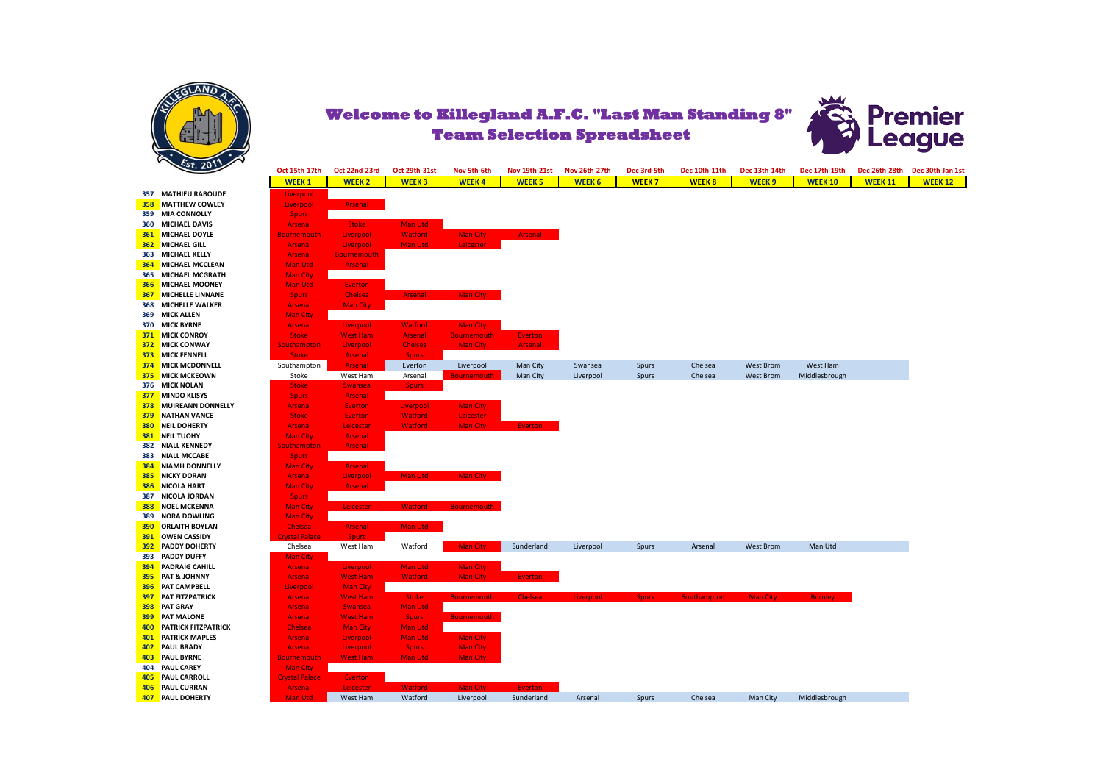

**357 MATHIEU RABOUDE 358 MATTHEW COWLEY 359 MIA CONNOLLY 360 MICHAEL DAVIS 361 MICHAEL DOYLE 362 MICHAEL GILL 363 MICHAEL KELLY 364 MICHAEL MCCLEAN 365 MICHAEL MCGRATH 366** MICHAEL MOONEY **367** MICHELLE LINNANE **368 MICHELLE WALKER 369 MICK ALLEN 370 MICK BYRNE 371 MICK CONROY 372 MICK CONWAY 373** MICK FENNELL<br>374 MICK MCDONNELL **376 MICK NOLAN 377 MINDO KLISYS 378 MUIREANN DONNELLY 379 NATHAN VANCE 380 NEIL DOHERTY 381 NEIL TUOHY 382 NIALL KENNEDY 383 NIALL MCCABE 384 NIAMH DONNELLY 385** NICKY DORAN **386** NICOLA HART **387 NICOLA JORDAN 388 NOEL MCKENNA 389 NORA DOWLING 390 ORLAITH BOYLAN 391 OWEN CASSIDY**<br>392 PADDY DOHERTY **393 PADDY DUFFY 394 PADRAIG CAHILL 395 PAT & JOHNNY 396 PAT CAMPBELL<br>397 PAT FITZPATRICK 398 PAT GRAY 399 PAT MALONE 400** PATRICK FITZPATRICK **401 PATRICK MAPLES 402** PAUL BRADY **403** PAUL BYRNE **404 PAUL CAREY 405 PAUL CARROLL 406 PAUL CURRAN**<br>407 **PAUL DOHERTY** 



| $\epsilon$ st. 2011         | Oct 15th-17th         | Oct 22nd-23rd      | <b>Oct 29th-31st</b> | Nov 5th-6th        | Nov 19th-21st  | Nov 26th-27th | Dec 3rd-5th  | Dec 10th-11th      | Dec 13th-14th    | Dec 17th-19th  | Dec 26th-28th  | Dec 30th-Jan 1st |
|-----------------------------|-----------------------|--------------------|----------------------|--------------------|----------------|---------------|--------------|--------------------|------------------|----------------|----------------|------------------|
|                             | <b>WEEK1</b>          | <b>WEEK2</b>       | <b>WEEK3</b>         | <b>WEEK4</b>       | <b>WEEK 5</b>  | <b>WEEK 6</b> | <b>WEEK7</b> | <b>WEEK8</b>       | <b>WEEK9</b>     | <b>WEEK 10</b> | <b>WEEK 11</b> | <b>WEEK 12</b>   |
| 357 MATHIEU RABOUDE         | Liverpool             |                    |                      |                    |                |               |              |                    |                  |                |                |                  |
| <b>358 MATTHEW COWLEY</b>   | Liverpool             | <b>Arsenal</b>     |                      |                    |                |               |              |                    |                  |                |                |                  |
| 359 MIA CONNOLLY            | <b>Spurs</b>          |                    |                      |                    |                |               |              |                    |                  |                |                |                  |
| 360 MICHAEL DAVIS           | <b>Arsenal</b>        | <b>Stoke</b>       | Man Utd              |                    |                |               |              |                    |                  |                |                |                  |
| <b>361 MICHAEL DOYLE</b>    | <b>Bournemouth</b>    | Liverpool          | <b>Watford</b>       | <b>Man City</b>    | Arsenal        |               |              |                    |                  |                |                |                  |
| <b>362 MICHAEL GILL</b>     | <b>Arsenal</b>        | Liverpool          | <b>Man Utd</b>       | Leicester          |                |               |              |                    |                  |                |                |                  |
| 363 MICHAEL KELLY           | <b>Arsenal</b>        | <b>Bournemouth</b> |                      |                    |                |               |              |                    |                  |                |                |                  |
| <b>364 MICHAEL MCCLEAN</b>  | <b>Man Utd</b>        | Arsenal            |                      |                    |                |               |              |                    |                  |                |                |                  |
| 365 MICHAEL MCGRATH         | <b>Man City</b>       |                    |                      |                    |                |               |              |                    |                  |                |                |                  |
| <b>366 MICHAEL MOONEY</b>   | <b>Man Utd</b>        | Everton            |                      |                    |                |               |              |                    |                  |                |                |                  |
| <b>367 MICHELLE LINNANE</b> | <b>Spurs</b>          | <b>Chelsea</b>     | <b>Arsenal</b>       | Man City           |                |               |              |                    |                  |                |                |                  |
| 368 MICHELLE WALKER         | <b>Arsenal</b>        | Man City           |                      |                    |                |               |              |                    |                  |                |                |                  |
| 369 MICK ALLEN              | <b>Man City</b>       |                    |                      |                    |                |               |              |                    |                  |                |                |                  |
| 370 MICK BYRNE              | <b>Arsenal</b>        | Liverpool          | <b>Watford</b>       | <b>Man City</b>    |                |               |              |                    |                  |                |                |                  |
| 371 MICK CONROY             | <b>Stoke</b>          | <b>West Ham</b>    | <b>Arsenal</b>       | <b>Bournemouth</b> | <b>Everton</b> |               |              |                    |                  |                |                |                  |
| 372 MICK CONWAY             | <b>Southampton</b>    | Liverpool          | Chelsea              | <b>Man City</b>    | Arsenal        |               |              |                    |                  |                |                |                  |
| 373 MICK FENNELL            | <b>Stoke</b>          | Arsenal            | <b>Spurs</b>         |                    |                |               |              |                    |                  |                |                |                  |
| <b>374 MICK MCDONNELL</b>   | Southampton           | Arsenal            | Everton              | Liverpool          | Man City       | Swansea       | Spurs        | Chelsea            | <b>West Brom</b> | West Ham       |                |                  |
| 375 MICK MCKEOWN            | Stoke                 | West Ham           | Arsenal              | <b>Bournemouth</b> | Man City       | Liverpool     | Spurs        | Chelsea            | <b>West Brom</b> | Middlesbrough  |                |                  |
| 376 MICK NOLAN              | <b>Stoke</b>          | <b>Swansea</b>     | <b>Spurs</b>         |                    |                |               |              |                    |                  |                |                |                  |
| <b>377 MINDO KLISYS</b>     | <b>Spurs</b>          | <b>Arsenal</b>     |                      |                    |                |               |              |                    |                  |                |                |                  |
| 378 MUIREANN DONNELLY       | <b>Arsenal</b>        | <b>Everton</b>     | Liverpool            | <b>Man City</b>    |                |               |              |                    |                  |                |                |                  |
| <b>379 NATHAN VANCE</b>     | <b>Stoke</b>          | <b>Everton</b>     | <b>Watford</b>       | Leicester          |                |               |              |                    |                  |                |                |                  |
| <b>380 NEIL DOHERTY</b>     | <b>Arsenal</b>        | Leicester          | <b>Watford</b>       | <b>Man City</b>    | <b>Everton</b> |               |              |                    |                  |                |                |                  |
| <b>381 NEIL TUOHY</b>       | <b>Man City</b>       | <b>Arsenal</b>     |                      |                    |                |               |              |                    |                  |                |                |                  |
| 382 NIALL KENNEDY           | <b>Southampton</b>    | Arsenal            |                      |                    |                |               |              |                    |                  |                |                |                  |
| 383 NIALL MCCABE            | <b>Spurs</b>          |                    |                      |                    |                |               |              |                    |                  |                |                |                  |
| <b>384 NIAMH DONNELLY</b>   | <b>Man City</b>       | <b>Arsenal</b>     |                      |                    |                |               |              |                    |                  |                |                |                  |
| <b>385 NICKY DORAN</b>      | <b>Arsenal</b>        | Liverpool          | Man Utd              | Man City           |                |               |              |                    |                  |                |                |                  |
| <b>386 NICOLA HART</b>      | <b>Man City</b>       | <b>Arsenal</b>     |                      |                    |                |               |              |                    |                  |                |                |                  |
| 387 NICOLA JORDAN           | <b>Spurs</b>          |                    |                      |                    |                |               |              |                    |                  |                |                |                  |
| <b>388 NOEL MCKENNA</b>     | <b>Man City</b>       | Leicester          | <b>Watford</b>       | <b>Bournemouth</b> |                |               |              |                    |                  |                |                |                  |
| 389 NORA DOWLING            | <b>Man City</b>       |                    |                      |                    |                |               |              |                    |                  |                |                |                  |
| <b>390 ORLAITH BOYLAN</b>   | Chelsea               | Arsenal            | Man Utd              |                    |                |               |              |                    |                  |                |                |                  |
| <b>391 OWEN CASSIDY</b>     | <b>rystal Palace</b>  | <b>Spurs</b>       |                      |                    |                |               |              |                    |                  |                |                |                  |
| <b>392 PADDY DOHERTY</b>    | Chelsea               | West Ham           | Watford              | <b>Man City</b>    | Sunderland     | Liverpool     | Spurs        | Arsenal            | <b>West Brom</b> | Man Utd        |                |                  |
| 393 PADDY DUFFY             | <b>Man City</b>       |                    |                      |                    |                |               |              |                    |                  |                |                |                  |
| <b>394 PADRAIG CAHILL</b>   | <b>Arsenal</b>        | Liverpool          | Man Utd              | <b>Man City</b>    |                |               |              |                    |                  |                |                |                  |
| 395 PAT & JOHNNY            | <b>Arsenal</b>        | <b>West Ham</b>    | <b>Watford</b>       | <b>Man City</b>    | <b>Everton</b> |               |              |                    |                  |                |                |                  |
| <b>396 PAT CAMPBELL</b>     | Liverpool             | <b>Man City</b>    |                      |                    |                |               |              |                    |                  |                |                |                  |
| <b>397 PAT FITZPATRICK</b>  | <b>Arsenal</b>        | <b>West Ham</b>    | <b>Stoke</b>         | <b>Bournemouth</b> | <b>Chelsea</b> | Liverpool     | <b>Spurs</b> | <b>Southampton</b> | <b>Man City</b>  | <b>Burnley</b> |                |                  |
| 398 PAT GRAY                | <b>Arsenal</b>        | <b>Swansea</b>     | <b>Man Utd</b>       |                    |                |               |              |                    |                  |                |                |                  |
| <b>399 PAT MALONE</b>       | <b>Arsenal</b>        | <b>West Ham</b>    | <b>Spurs</b>         | <b>Bournemouth</b> |                |               |              |                    |                  |                |                |                  |
| 400 PATRICK FITZPATRICK     | <b>Chelsea</b>        | <b>Man City</b>    | <b>Man Utd</b>       |                    |                |               |              |                    |                  |                |                |                  |
| 401 PATRICK MAPLES          | <b>Arsenal</b>        | Liverpool          | <b>Man Utd</b>       | <b>Man City</b>    |                |               |              |                    |                  |                |                |                  |
| 402 PAUL BRADY              | <b>Arsenal</b>        | Liverpool          | <b>Spurs</b>         | <b>Man City</b>    |                |               |              |                    |                  |                |                |                  |
| 403 PAUL BYRNE              | <b>Bournemouth</b>    | <b>West Ham</b>    | <b>Man Utd</b>       | <b>Man City</b>    |                |               |              |                    |                  |                |                |                  |
| 404 PAUL CAREY              | <b>Man City</b>       |                    |                      |                    |                |               |              |                    |                  |                |                |                  |
| 405 PAUL CARROLL            | <b>Crystal Palace</b> | Everton            |                      |                    |                |               |              |                    |                  |                |                |                  |
| 406 PAUL CURRAN             | <b>Arsenal</b>        | Leicester          | <b>Watford</b>       | <b>Man City</b>    | <b>Everton</b> |               |              |                    |                  |                |                |                  |
| 407 PAUL DOHERTY            | Man Utd               | West Ham           | Watford              | Liverpool          | Sunderland     | Arsenal       | Spurs        | Chelsea            | Man City         | Middlesbrough  |                |                  |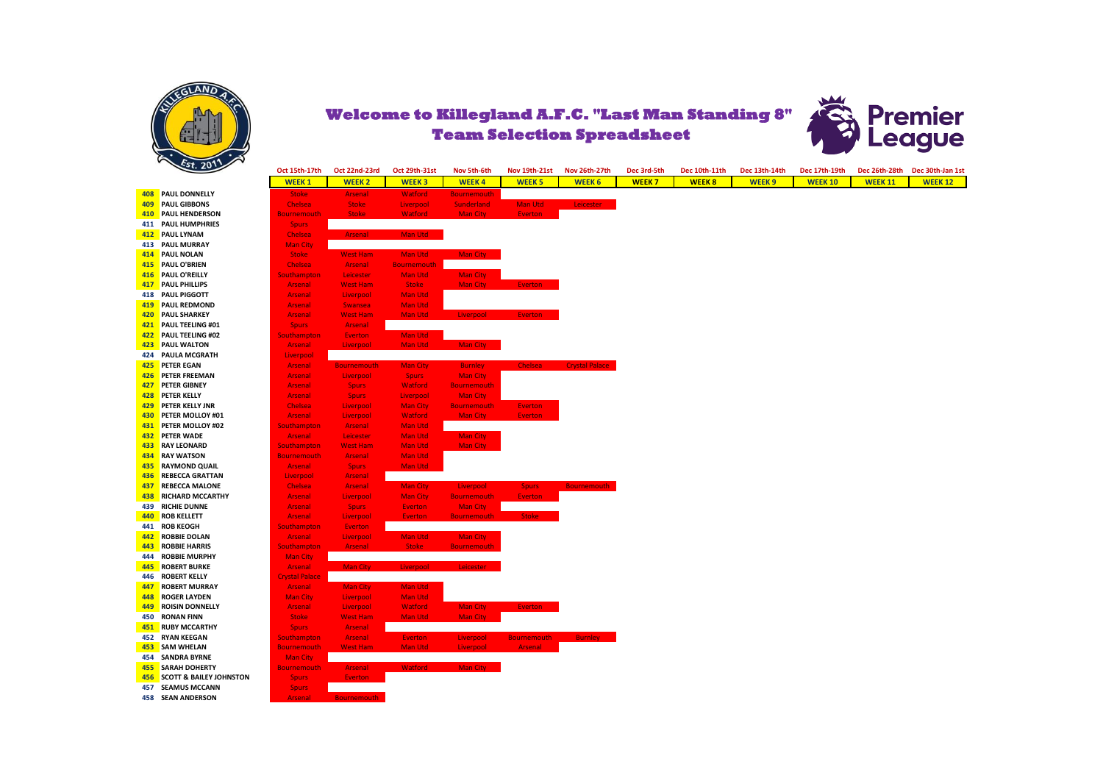



| 408        | <b>PAUL DONNELLY</b>                        | <b>Stoke</b>                             | <b>Arsenal</b>                    |
|------------|---------------------------------------------|------------------------------------------|-----------------------------------|
| 409        | <b>PAUL GIBBONS</b>                         | Chelsea                                  | <b>Stoke</b>                      |
| 410        | <b>PAUL HENDERSON</b>                       | <b>Bournemouth</b>                       | <b>Stoke</b>                      |
| 411        | <b>PAUL HUMPHRIES</b>                       | <b>Spurs</b>                             |                                   |
| 412        | <b>PAUL LYNAM</b>                           | <b>Chelsea</b>                           | <b>Arsenal</b>                    |
| 413        | <b>PAUL MURRAY</b>                          | <b>Man City</b>                          |                                   |
| 414        | <b>PAUL NOLAN</b>                           | <b>Stoke</b>                             | <b>West Ham</b>                   |
| 415        | <b>PAUL O'BRIEN</b>                         | <b>Chelsea</b>                           | <b>Arsenal</b>                    |
| 416        | <b>PAUL O'REILLY</b>                        | <b>Southampton</b>                       | Leicester                         |
| 417        | <b>PAUL PHILLIPS</b>                        | <b>Arsenal</b>                           | <b>West Ham</b>                   |
| 418        | <b>PAUL PIGGOTT</b>                         | <b>Arsenal</b>                           | Liverpool                         |
| 419        | <b>PAUL REDMOND</b>                         | <b>Arsenal</b>                           | <b>Swansea</b>                    |
| 420        | <b>PAUL SHARKEY</b>                         | <b>Arsenal</b>                           | <b>West Ham</b>                   |
| 421        | <b>PAUL TEELING #01</b>                     | <b>Spurs</b>                             | <b>Arsenal</b>                    |
| 422        | <b>PAUL TEELING #02</b>                     | <b>Southampton</b>                       | <b>Everton</b>                    |
| 423        | <b>PAUL WALTON</b>                          | <b>Arsenal</b>                           | Liverpool                         |
| 424        | PAULA MCGRATH                               | Liverpool                                |                                   |
| 425        | <b>PETER EGAN</b>                           | <b>Arsenal</b>                           | <b>Bournemouth</b>                |
| 426        | <b>PETER FREEMAN</b>                        | <b>Arsenal</b>                           | Liverpool                         |
| 427        | PETER GIBNEY                                | <b>Arsenal</b>                           | <b>Spurs</b>                      |
| 428        | <b>PETER KELLY</b>                          | <b>Arsenal</b>                           | <b>Spurs</b>                      |
| 429        | PETER KELLY JNR                             | <b>Chelsea</b>                           | Liverpool                         |
| 430        | PETER MOLLOY #01                            | <b>Arsenal</b>                           | Liverpool                         |
| 431        | PETER MOLLOY #02                            | <b>Southampton</b>                       | <b>Arsenal</b>                    |
| 432        | <b>PETER WADE</b>                           | <b>Arsenal</b>                           | Leicester                         |
| 433        | <b>RAY LEONARD</b>                          | <b>Southampton</b>                       | <b>West Ham</b>                   |
| 434        | <b>RAY WATSON</b>                           | <b>Bournemouth</b>                       | <b>Arsenal</b>                    |
| 435        | <b>RAYMOND QUAIL</b>                        | <b>Arsenal</b>                           | <b>Spurs</b>                      |
| 436        | <b>REBECCA GRATTAN</b>                      | Liverpool                                | <b>Arsenal</b>                    |
| 437        | <b>REBECCA MALONE</b>                       | Chelsea                                  | <b>Arsenal</b>                    |
| 438        | <b>RICHARD MCCARTHY</b>                     | <b>Arsenal</b>                           | Liverpool                         |
| 439        | <b>RICHIE DUNNE</b>                         | <b>Arsenal</b>                           | <b>Spurs</b>                      |
| 440        | <b>ROB KELLETT</b>                          | <b>Arsenal</b>                           | Liverpool                         |
| 441        | <b>ROB KEOGH</b>                            | <b>Southampton</b>                       | Everton                           |
| 442        | <b>ROBBIE DOLAN</b>                         | <b>Arsenal</b>                           | Liverpool                         |
| 443        | <b>ROBBIE HARRIS</b>                        | <b>Southampton</b>                       | <b>Arsenal</b>                    |
| 444<br>445 | <b>ROBBIE MURPHY</b><br><b>ROBERT BURKE</b> | <b>Man City</b>                          |                                   |
| 446        | <b>ROBERT KELLY</b>                         | <b>Arsenal</b>                           | <b>Man City</b>                   |
| 447        | <b>ROBERT MURRAY</b>                        | <b>Crystal Palace</b><br><b>Arsenal</b>  | <b>Man City</b>                   |
| 448        | <b>ROGER LAYDEN</b>                         | <b>Man City</b>                          |                                   |
| 449        | <b>ROISIN DONNELLY</b>                      | <b>Arsenal</b>                           | Liverpool                         |
| 450        | <b>RONAN FINN</b>                           | <b>Stoke</b>                             | Liverpool<br><b>West Ham</b>      |
| 451        | <b>RUBY MCCARTHY</b>                        |                                          |                                   |
| 452        | <b>RYAN KEEGAN</b>                          | <b>Spurs</b>                             | <b>Arsenal</b>                    |
| 453        | <b>SAM WHELAN</b>                           | <b>Southampton</b><br><b>Bournemouth</b> | <b>Arsenal</b><br><b>West Ham</b> |
| 454        | <b>SANDRA BYRNE</b>                         | <b>Man City</b>                          |                                   |
| 455        | <b>SARAH DOHERTY</b>                        | <b>Bournemouth</b>                       | <b>Arsenal</b>                    |
| 456        | <b>SCOTT &amp; BAILEY JOHNSTON</b>          | <b>Spurs</b>                             | <b>Everton</b>                    |
| 457        | <b>SEAMUS MCCANN</b>                        | <b>Spurs</b>                             |                                   |
| 458        | <b>SEAN ANDERSON</b>                        | <b>Arsenal</b>                           | <b>Bournemouth</b>                |
|            |                                             |                                          |                                   |

| 5t.201                                 | Oct 15th-17th         | Oct 22nd-23rd      | Oct 29th-31st      | Nov 5th-6th        | Nov 19th-21st      | Nov 26th-27th         | Dec 3rd-5th | Dec 10th-11th | Dec 13th-14th     | Dec 17th-19th  |                | Dec 26th-28th Dec 30th-Jan 1st |
|----------------------------------------|-----------------------|--------------------|--------------------|--------------------|--------------------|-----------------------|-------------|---------------|-------------------|----------------|----------------|--------------------------------|
|                                        | <b>WEEK1</b>          | <b>WEEK 2</b>      | <b>WEEK3</b>       | <b>WEEK4</b>       | <b>WEEK 5</b>      | <b>WEEK 6</b>         | WEEK 7      | <b>WEEK8</b>  | WEEK <sub>9</sub> | <b>WEEK 10</b> | <b>WEEK 11</b> | <b>WEEK 12</b>                 |
| 408 PAUL DONNELLY                      | <b>Stoke</b>          | Arsenal            | <b>Watford</b>     | <b>Bournemouth</b> |                    |                       |             |               |                   |                |                |                                |
| 409 PAUL GIBBONS                       | <b>Chelsea</b>        | <b>Stoke</b>       | Liverpool          | <b>Sunderland</b>  | Man Utd            | Leicester             |             |               |                   |                |                |                                |
| 410 PAUL HENDERSON                     | <b>Bournemouth</b>    | <b>Stoke</b>       | <b>Watford</b>     | <b>Man City</b>    | <b>Everton</b>     |                       |             |               |                   |                |                |                                |
| <b>411 PAUL HUMPHRIES</b>              | <b>Spurs</b>          |                    |                    |                    |                    |                       |             |               |                   |                |                |                                |
| 412 PAUL LYNAM                         | Chelsea               | Arsenal            | Man Utd            |                    |                    |                       |             |               |                   |                |                |                                |
| <b>413 PAUL MURRAY</b>                 | <b>Man City</b>       |                    |                    |                    |                    |                       |             |               |                   |                |                |                                |
| 414 PAUL NOLAN                         | <b>Stoke</b>          | West Ham           | <b>Man Utd</b>     | Man City           |                    |                       |             |               |                   |                |                |                                |
| 415 PAUL O'BRIEN                       | <b>Chelsea</b>        | Arsenal            | <b>Bournemouth</b> |                    |                    |                       |             |               |                   |                |                |                                |
| 416 PAUL O'REILLY                      | <b>Southampton</b>    | Leicester          | Man Utd            | <b>Man City</b>    |                    |                       |             |               |                   |                |                |                                |
| 417 PAUL PHILLIPS                      | <b>Arsenal</b>        | <b>West Ham</b>    | <b>Stoke</b>       | <b>Man City</b>    | <b>Everton</b>     |                       |             |               |                   |                |                |                                |
| 418 PAUL PIGGOTT                       | <b>Arsenal</b>        | Liverpool          | <b>Man Utd</b>     |                    |                    |                       |             |               |                   |                |                |                                |
| 419 PAUL REDMOND                       | <b>Arsenal</b>        | <b>Swansea</b>     | <b>Man Utd</b>     |                    |                    |                       |             |               |                   |                |                |                                |
| 420 PAUL SHARKEY                       | <b>Arsenal</b>        | <b>West Ham</b>    | Man Utd            | Liverpool          | Everton            |                       |             |               |                   |                |                |                                |
| 421 PAUL TEELING #01                   | <b>Spurs</b>          | Arsenal            |                    |                    |                    |                       |             |               |                   |                |                |                                |
| 422 PAUL TEELING #02                   | <b>Southampton</b>    | <b>Everton</b>     | Man Utd            |                    |                    |                       |             |               |                   |                |                |                                |
| 423 PAUL WALTON                        | <b>Arsenal</b>        | Liverpool          | <b>Man Utd</b>     | <b>Man City</b>    |                    |                       |             |               |                   |                |                |                                |
| 424 PAULA MCGRATH                      | Liverpool             |                    |                    |                    |                    |                       |             |               |                   |                |                |                                |
| 425 PETER EGAN                         | <b>Arsenal</b>        | <b>Bournemouth</b> | <b>Man City</b>    | <b>Burnley</b>     | <b>Chelsea</b>     | <b>Crystal Palace</b> |             |               |                   |                |                |                                |
| 426 PETER FREEMAN                      | <b>Arsenal</b>        | Liverpool          | <b>Spurs</b>       | <b>Man City</b>    |                    |                       |             |               |                   |                |                |                                |
| 427 PETER GIBNEY                       | <b>Arsenal</b>        | <b>Spurs</b>       | <b>Watford</b>     | <b>Bournemouth</b> |                    |                       |             |               |                   |                |                |                                |
| 428 PETER KELLY                        | <b>Arsenal</b>        | <b>Spurs</b>       | Liverpool          | <b>Man City</b>    |                    |                       |             |               |                   |                |                |                                |
| 429 PETER KELLY JNR                    | <b>Chelsea</b>        | Liverpool          | <b>Man City</b>    | <b>Bournemouth</b> | <b>Everton</b>     |                       |             |               |                   |                |                |                                |
| 430 PETER MOLLOY #01                   | <b>Arsenal</b>        | Liverpool          | <b>Watford</b>     | <b>Man City</b>    | <b>Everton</b>     |                       |             |               |                   |                |                |                                |
| 431 PETER MOLLOY #02                   | <b>Southampton</b>    | Arsenal            | <b>Man Utd</b>     |                    |                    |                       |             |               |                   |                |                |                                |
| 432 PETER WADE                         | Arsenal               | Leicester          | <b>Man Utd</b>     | <b>Man City</b>    |                    |                       |             |               |                   |                |                |                                |
| 433 RAY LEONARD                        | Southampton           | <b>West Ham</b>    | <b>Man Utd</b>     | <b>Man City</b>    |                    |                       |             |               |                   |                |                |                                |
| 434 RAY WATSON                         | <b>Bournemouth</b>    | <b>Arsenal</b>     | <b>Man Utd</b>     |                    |                    |                       |             |               |                   |                |                |                                |
| 435 RAYMOND QUAIL                      | Arsenal               | <b>Spurs</b>       | <b>Man Utd</b>     |                    |                    |                       |             |               |                   |                |                |                                |
| 436 REBECCA GRATTAN                    | Liverpool             | <b>Arsenal</b>     |                    |                    |                    |                       |             |               |                   |                |                |                                |
| 437 REBECCA MALONE                     | <b>Chelsea</b>        | <b>Arsenal</b>     | <b>Man City</b>    | Liverpool          | <b>Spurs</b>       | <b>Bournemouth</b>    |             |               |                   |                |                |                                |
| 438 RICHARD MCCARTHY                   | <b>Arsenal</b>        | Liverpool          | <b>Man City</b>    | <b>Bournemouth</b> | <b>Everton</b>     |                       |             |               |                   |                |                |                                |
| <b>439 RICHIE DUNNE</b>                | <b>Arsenal</b>        | <b>Spurs</b>       | <b>Everton</b>     | <b>Man City</b>    |                    |                       |             |               |                   |                |                |                                |
| 440 ROB KELLETT                        | <b>Arsenal</b>        | Liverpool          | <b>Everton</b>     | <b>Bournemouth</b> | <b>Stoke</b>       |                       |             |               |                   |                |                |                                |
| 441 ROB KEOGH                          | Southampton           | <b>Everton</b>     |                    |                    |                    |                       |             |               |                   |                |                |                                |
| 442 ROBBIE DOLAN                       | Arsenal               | Liverpool          | <b>Man Utd</b>     | Man City           |                    |                       |             |               |                   |                |                |                                |
| 443 ROBBIE HARRIS                      | <b>Southampton</b>    | <b>Arsenal</b>     | <b>Stoke</b>       | <b>Bournemouth</b> |                    |                       |             |               |                   |                |                |                                |
| 444 ROBBIE MURPHY                      | <b>Man City</b>       |                    |                    |                    |                    |                       |             |               |                   |                |                |                                |
| 445 ROBERT BURKE                       | <b>Arsenal</b>        | <b>Man City</b>    | Liverpool          | Leicester          |                    |                       |             |               |                   |                |                |                                |
| 446 ROBERT KELLY                       | <b>Crystal Palace</b> |                    |                    |                    |                    |                       |             |               |                   |                |                |                                |
| 447 ROBERT MURRAY                      | <b>Arsenal</b>        | <b>Man City</b>    | Man Utd            |                    |                    |                       |             |               |                   |                |                |                                |
| 448 ROGER LAYDEN                       | <b>Man City</b>       | Liverpool          | <b>Man Utd</b>     |                    |                    |                       |             |               |                   |                |                |                                |
| 449 ROISIN DONNELLY                    | <b>Arsenal</b>        | Liverpool          | <b>Watford</b>     | <b>Man City</b>    | <b>Everton</b>     |                       |             |               |                   |                |                |                                |
| <b>450 RONAN FINN</b>                  | <b>Stoke</b>          | <b>West Ham</b>    | Man Utd            | <b>Man City</b>    |                    |                       |             |               |                   |                |                |                                |
| 451 RUBY MCCARTHY                      | <b>Spurs</b>          | <b>Arsenal</b>     |                    |                    |                    |                       |             |               |                   |                |                |                                |
| 452 RYAN KEEGAN                        | <b>Southampton</b>    | Arsenal            | <b>Everton</b>     | Liverpool          | <b>Bournemouth</b> | <b>Burnley</b>        |             |               |                   |                |                |                                |
| 453 SAM WHELAN                         | <b>Bournemouth</b>    | <b>West Ham</b>    | <b>Man Utd</b>     | Liverpool          | Arsenal            |                       |             |               |                   |                |                |                                |
| 454 SANDRA BYRNE                       | <b>Man City</b>       |                    |                    |                    |                    |                       |             |               |                   |                |                |                                |
| 455 SARAH DOHERTY                      | <b>Bournemouth</b>    | <b>Arsenal</b>     | <b>Watford</b>     | Man City           |                    |                       |             |               |                   |                |                |                                |
| <b>456 SCOTT &amp; BAILEY JOHNSTON</b> | <b>Spurs</b>          | <b>Everton</b>     |                    |                    |                    |                       |             |               |                   |                |                |                                |
| <b>457 SEAMUS MCCANN</b>               | <b>Spurs</b>          |                    |                    |                    |                    |                       |             |               |                   |                |                |                                |
| <b>ACO CEAN ANDERCON</b>               |                       |                    |                    |                    |                    |                       |             |               |                   |                |                |                                |